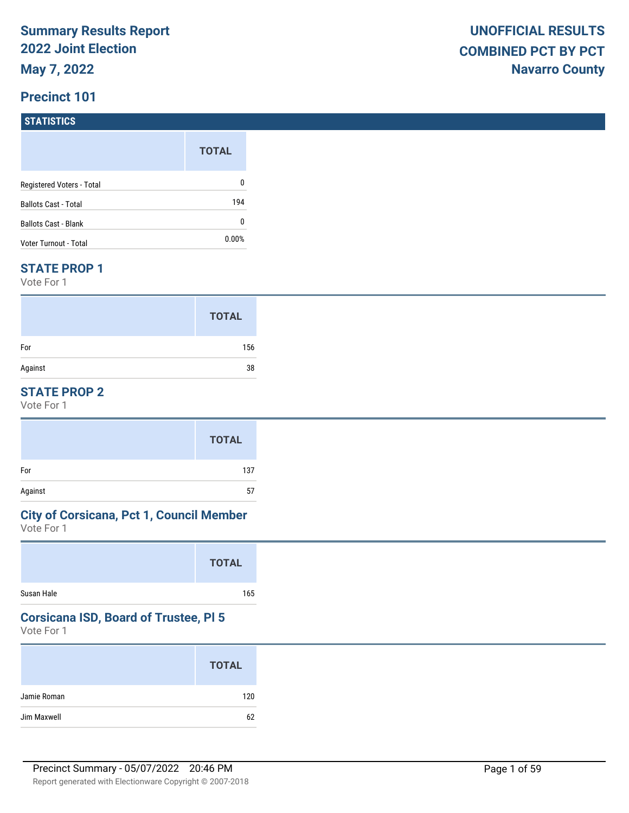# **STATISTICS**

|                             | <b>TOTAL</b> |
|-----------------------------|--------------|
| Registered Voters - Total   | 0            |
| <b>Ballots Cast - Total</b> | 194          |
| <b>Ballots Cast - Blank</b> | 0            |
| Voter Turnout - Total       | $0.00\%$     |

#### **STATE PROP 1**

Vote For 1

|         | <b>TOTAL</b> |
|---------|--------------|
| For     | 156          |
| Against | 38           |

## **STATE PROP 2**

Vote For 1

|         | <b>TOTAL</b> |
|---------|--------------|
| For     | 137          |
| Against | 57           |

# **City of Corsicana, Pct 1, Council Member**

Vote For 1

|            | <b>TOTAL</b> |
|------------|--------------|
| Susan Hale | 165          |

# **Corsicana ISD, Board of Trustee, Pl 5**

|             | <b>TOTAL</b> |
|-------------|--------------|
| Jamie Roman | 120          |
| Jim Maxwell | 62           |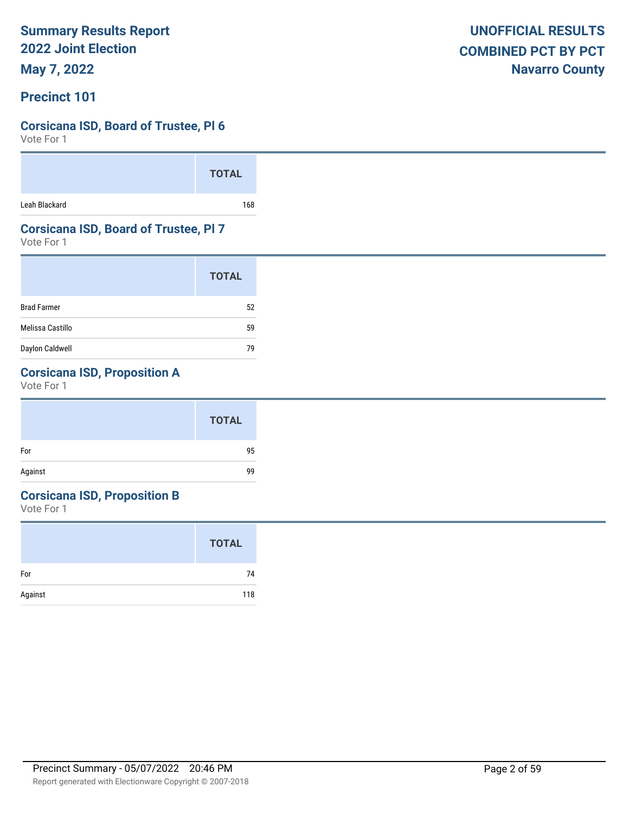**May 7, 2022**

### **Precinct 101**

### **Corsicana ISD, Board of Trustee, Pl 6**

Vote For 1

|               | <b>TOTAL</b> |
|---------------|--------------|
| Leah Blackard | 168          |

### **Corsicana ISD, Board of Trustee, Pl 7**

Vote For 1

|                    | <b>TOTAL</b> |
|--------------------|--------------|
| <b>Brad Farmer</b> | 52           |
| Melissa Castillo   | 59           |
| Daylon Caldwell    | 79           |

# **Corsicana ISD, Proposition A**

Vote For 1

#### **Corsicana ISD, Proposition B**

|         | <b>TOTAL</b> |
|---------|--------------|
| For     | 74           |
| Against | 118          |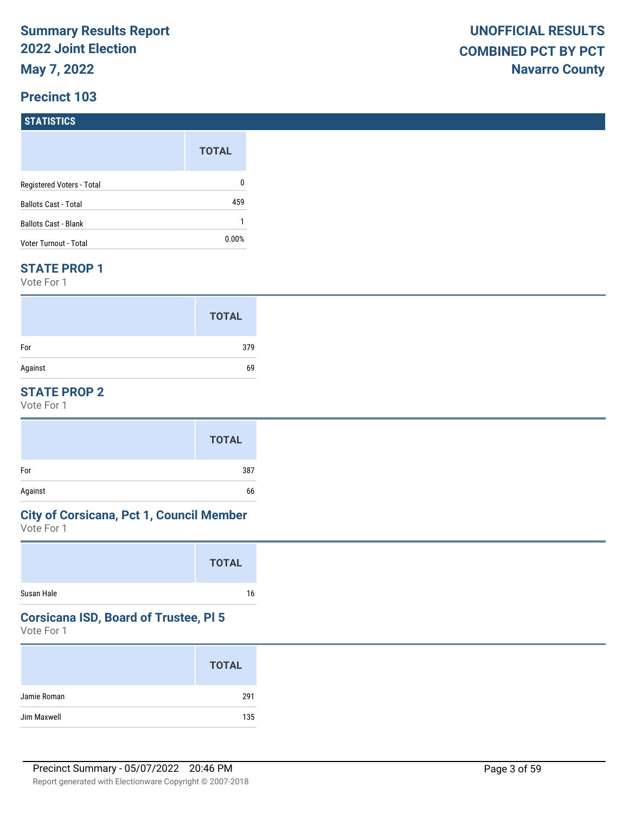# **STATISTICS**

|                             | <b>TOTAL</b> |
|-----------------------------|--------------|
| Registered Voters - Total   | 0            |
| <b>Ballots Cast - Total</b> | 459          |
| Ballots Cast - Blank        |              |
| Voter Turnout - Total       | $0.00\%$     |

#### **STATE PROP 1**

Vote For 1

|         | <b>TOTAL</b> |
|---------|--------------|
| For     | 379          |
| Against | 69           |

## **STATE PROP 2**

Vote For 1

|         | <b>TOTAL</b> |
|---------|--------------|
| For     | 387          |
| Against | 66           |

# **City of Corsicana, Pct 1, Council Member**

Vote For 1

|            | <b>TOTAL</b> |
|------------|--------------|
| Susan Hale | 16           |

# **Corsicana ISD, Board of Trustee, Pl 5**

|             | <b>TOTAL</b> |
|-------------|--------------|
| Jamie Roman | 291          |
| Jim Maxwell | 135          |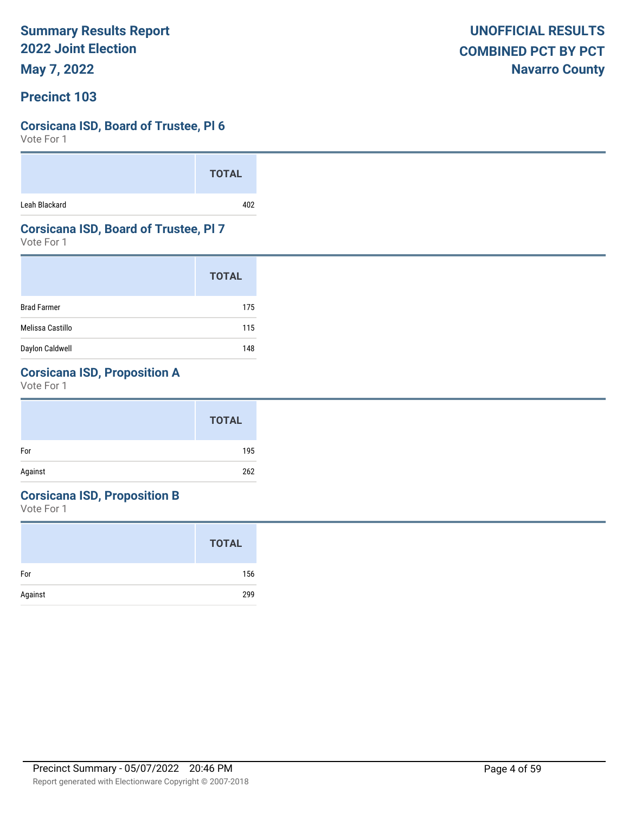**May 7, 2022**

### **Precinct 103**

### **Corsicana ISD, Board of Trustee, Pl 6**

Vote For 1

|               | <b>TOTAL</b>    |  |
|---------------|-----------------|--|
| Leah Blackard | 10 <sub>2</sub> |  |

### **Corsicana ISD, Board of Trustee, Pl 7**

Vote For 1

|                    | <b>TOTAL</b> |
|--------------------|--------------|
| <b>Brad Farmer</b> | 175          |
| Melissa Castillo   | 115          |
| Daylon Caldwell    | 148          |

# **Corsicana ISD, Proposition A**

Vote For 1

|         | <b>TOTAL</b> |
|---------|--------------|
| For     | 195          |
| Against | 262          |

# **Corsicana ISD, Proposition B**

|         | <b>TOTAL</b> |
|---------|--------------|
| For     | 156          |
| Against | 299          |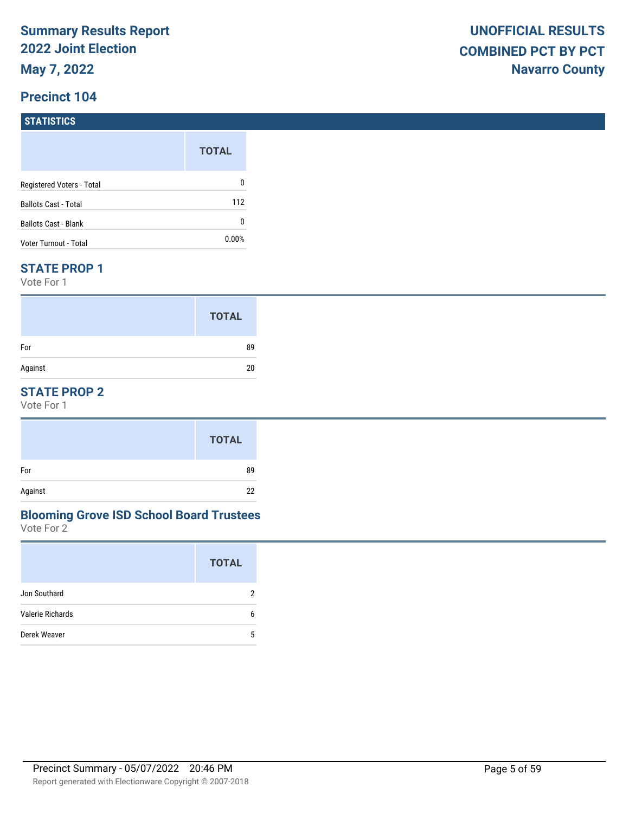#### **Precinct 104**

#### **STATISTICS**

|                             | <b>TOTAL</b> |
|-----------------------------|--------------|
| Registered Voters - Total   | 0            |
| <b>Ballots Cast - Total</b> | 112          |
| <b>Ballots Cast - Blank</b> | 0            |
| Voter Turnout - Total       | 0.00%        |

#### **STATE PROP 1**

Vote For 1

|         | <b>TOTAL</b> |
|---------|--------------|
| For     | 89           |
| Against | 20           |

## **STATE PROP 2**

Vote For 1

|         | <b>TOTAL</b> |
|---------|--------------|
| For     | 89           |
| Against | 22           |

#### Vote For 2 **Blooming Grove ISD School Board Trustees**

|                         | <b>TOTAL</b> |
|-------------------------|--------------|
| Jon Southard            | 2            |
| <b>Valerie Richards</b> | 6            |
| Derek Weaver            | 5            |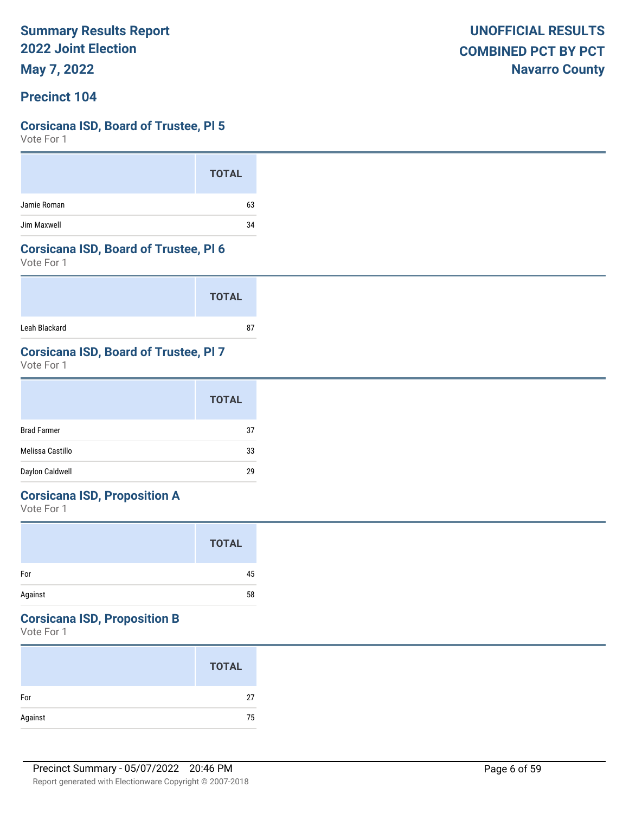**May 7, 2022**

### **Precinct 104**

### **Corsicana ISD, Board of Trustee, Pl 5**

Vote For 1

|             | <b>TOTAL</b> |
|-------------|--------------|
| Jamie Roman | 63           |
| Jim Maxwell | 34           |

#### **Corsicana ISD, Board of Trustee, Pl 6**

Vote For 1

|               | <b>TOTAL</b> |
|---------------|--------------|
| Leah Blackard | 87           |

# **Corsicana ISD, Board of Trustee, Pl 7**

Vote For 1

|                    | <b>TOTAL</b> |
|--------------------|--------------|
| <b>Brad Farmer</b> | 37           |
| Melissa Castillo   | 33           |
| Daylon Caldwell    | 29           |

# **Corsicana ISD, Proposition A**

Vote For 1

|         | <b>TOTAL</b> |  |
|---------|--------------|--|
| For     | 45           |  |
| Against | 58           |  |

# **Corsicana ISD, Proposition B**

|         | <b>TOTAL</b> |
|---------|--------------|
| For     | 27           |
| Against | 75           |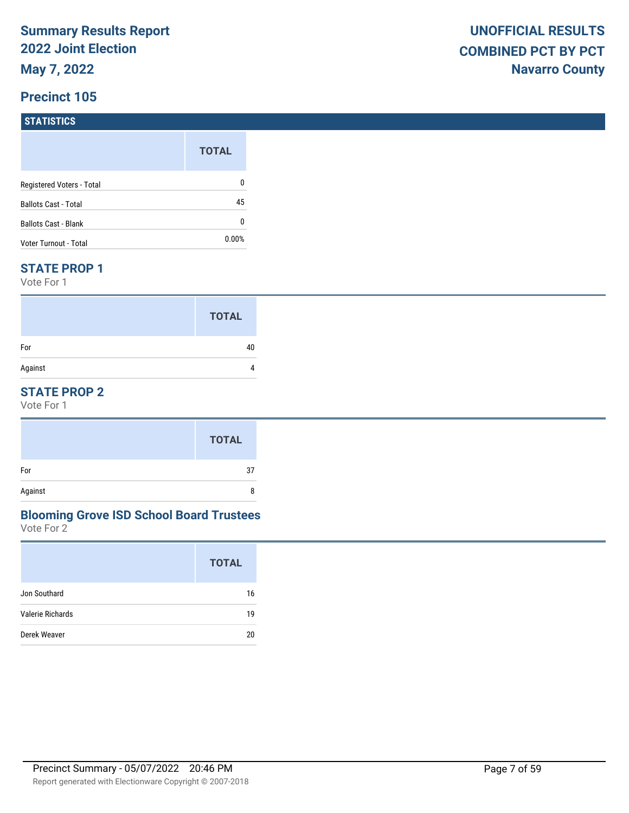# **STATISTICS**

|                             | <b>TOTAL</b> |
|-----------------------------|--------------|
| Registered Voters - Total   | 0            |
| <b>Ballots Cast - Total</b> | 45           |
| <b>Ballots Cast - Blank</b> | 0            |
| Voter Turnout - Total       | $0.00\%$     |

#### **STATE PROP 1**

Vote For 1

|         | <b>TOTAL</b> |
|---------|--------------|
| For     | 40           |
| Against |              |

## **STATE PROP 2**

Vote For 1

#### Vote For 2 **Blooming Grove ISD School Board Trustees**

|                  | <b>TOTAL</b> |
|------------------|--------------|
| Jon Southard     | 16           |
| Valerie Richards | 19           |
| Derek Weaver     | 20           |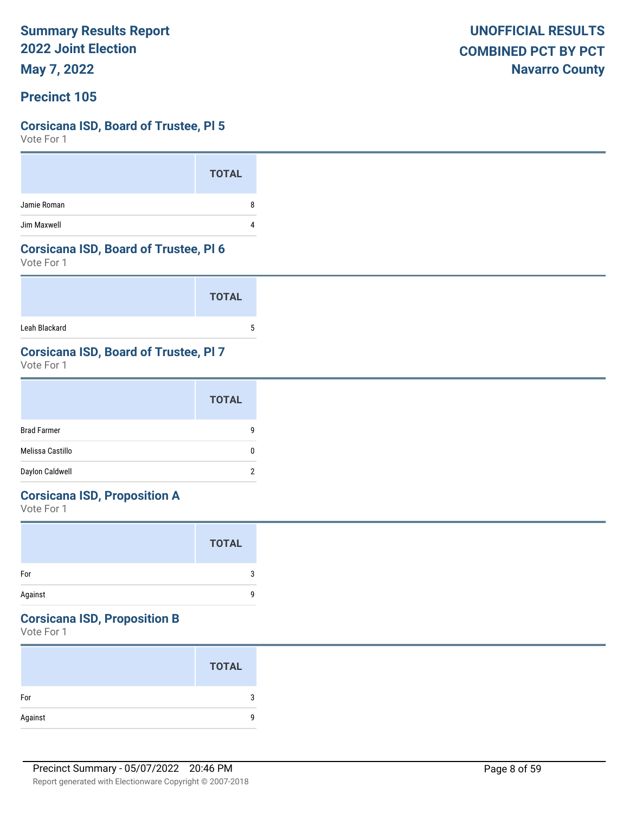**May 7, 2022**

### **Precinct 105**

### **Corsicana ISD, Board of Trustee, Pl 5**

Vote For 1

|             | <b>TOTAL</b> |
|-------------|--------------|
| Jamie Roman | Я            |
| Jim Maxwell |              |

#### **Corsicana ISD, Board of Trustee, Pl 6**

Vote For 1

|               | <b>TOTAL</b> |
|---------------|--------------|
| Leah Blackard | b            |

# **Corsicana ISD, Board of Trustee, Pl 7**

Vote For 1

|                    | <b>TOTAL</b> |
|--------------------|--------------|
| <b>Brad Farmer</b> | g            |
| Melissa Castillo   | 0            |
| Daylon Caldwell    | 2            |

# **Corsicana ISD, Proposition A**

Vote For 1

|         | <b>TOTAL</b> |  |
|---------|--------------|--|
| For     | 3            |  |
| Against | g            |  |

# **Corsicana ISD, Proposition B**

|         | <b>TOTAL</b> |
|---------|--------------|
| For     |              |
| Against |              |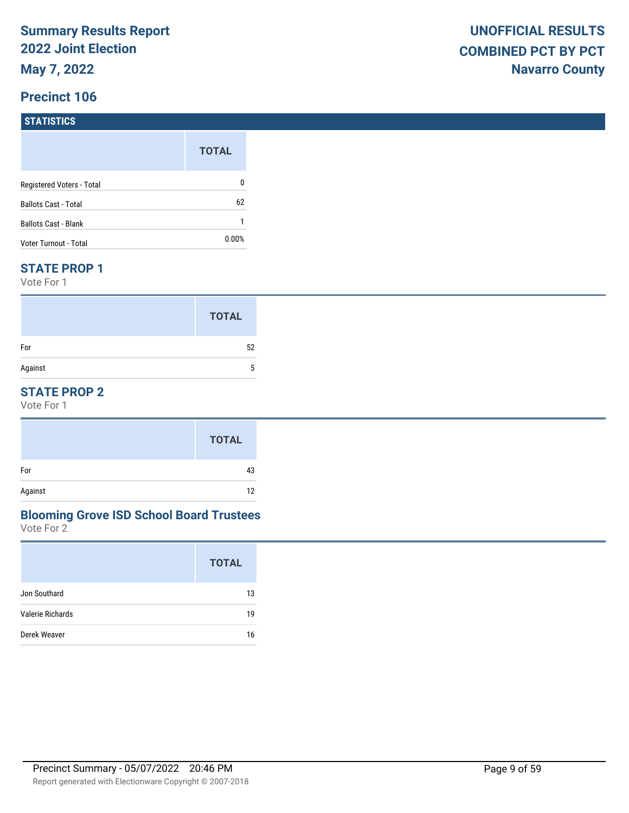#### **STATISTICS**

|                             | <b>TOTAL</b> |
|-----------------------------|--------------|
| Registered Voters - Total   | 0            |
| <b>Ballots Cast - Total</b> | 62           |
| Ballots Cast - Blank        |              |
| Voter Turnout - Total       | $0.00\%$     |

#### **STATE PROP 1**

Vote For 1

|         | <b>TOTAL</b> |
|---------|--------------|
| For     | 52           |
| Against | 5            |

## **STATE PROP 2**

Vote For 1

|         | <b>TOTAL</b> |
|---------|--------------|
| For     | 43           |
| Against | 12           |

#### Vote For 2 **Blooming Grove ISD School Board Trustees**

|                  | <b>TOTAL</b> |
|------------------|--------------|
| Jon Southard     | 13           |
| Valerie Richards | 19           |
| Derek Weaver     | 16           |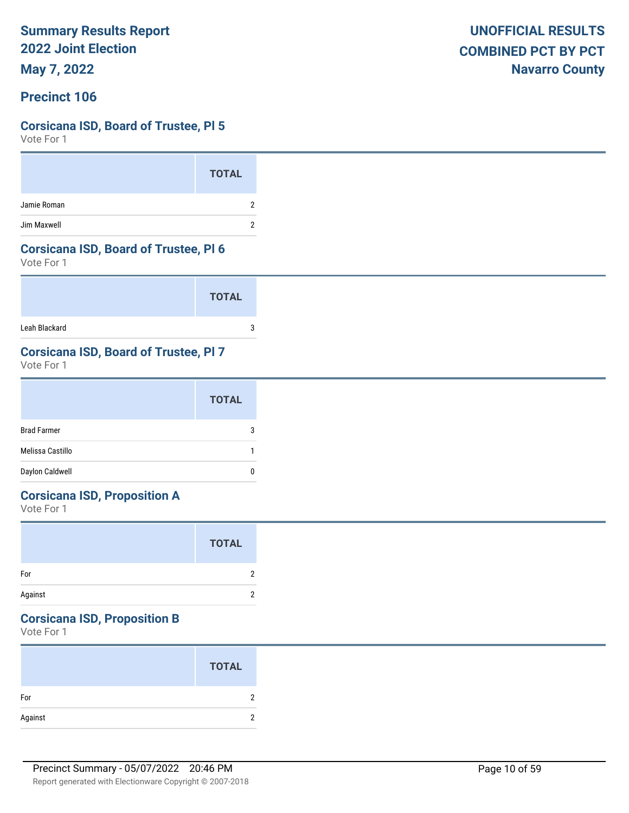**May 7, 2022**

### **Precinct 106**

### **Corsicana ISD, Board of Trustee, Pl 5**

Vote For 1

|             | <b>TOTAL</b> |
|-------------|--------------|
| Jamie Roman |              |
| Jim Maxwell |              |

#### **Corsicana ISD, Board of Trustee, Pl 6**

Vote For 1

|               | <b>TOTAL</b> |
|---------------|--------------|
| Leah Blackard | ◠            |

# **Corsicana ISD, Board of Trustee, Pl 7**

Vote For 1

|                    | <b>TOTAL</b> |
|--------------------|--------------|
| <b>Brad Farmer</b> | 3            |
| Melissa Castillo   |              |
| Daylon Caldwell    | Ω            |

# **Corsicana ISD, Proposition A**

Vote For 1

|         | <b>TOTAL</b> |  |
|---------|--------------|--|
| For     | 2            |  |
| Against | 2            |  |

# **Corsicana ISD, Proposition B**

|         | <b>TOTAL</b> |
|---------|--------------|
| For     |              |
| Against |              |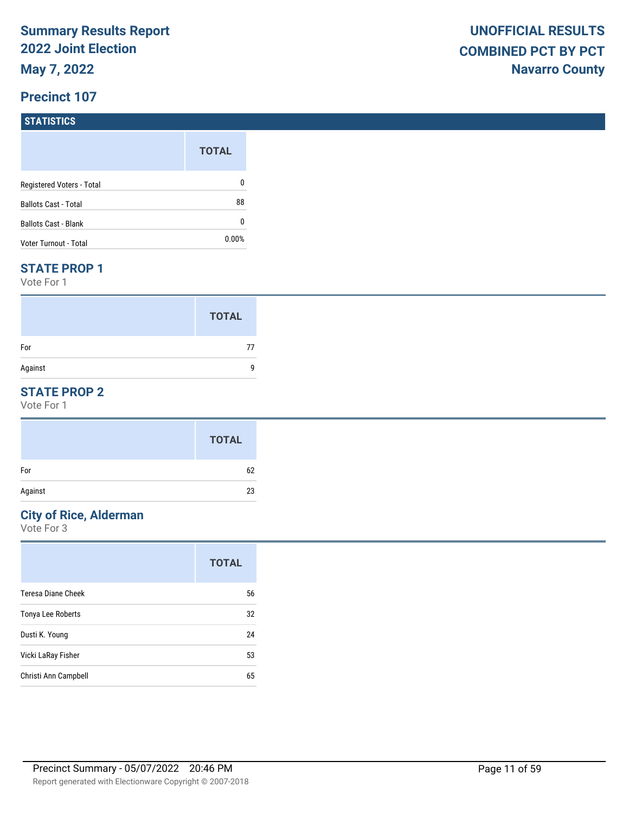#### **STATISTICS**

|                             | <b>TOTAL</b> |
|-----------------------------|--------------|
| Registered Voters - Total   | 0            |
| <b>Ballots Cast - Total</b> | 88           |
| <b>Ballots Cast - Blank</b> | 0            |
| Voter Turnout - Total       | 0.00%        |

#### **STATE PROP 1**

Vote For 1

|         | <b>TOTAL</b> |
|---------|--------------|
| For     | 77           |
| Against | q            |

## **STATE PROP 2**

Vote For 1

#### **City of Rice, Alderman**

|                      | <b>TOTAL</b> |
|----------------------|--------------|
| Teresa Diane Cheek   | 56           |
| Tonya Lee Roberts    | 32           |
| Dusti K. Young       | 24           |
| Vicki LaRay Fisher   | 53           |
| Christi Ann Campbell | 65           |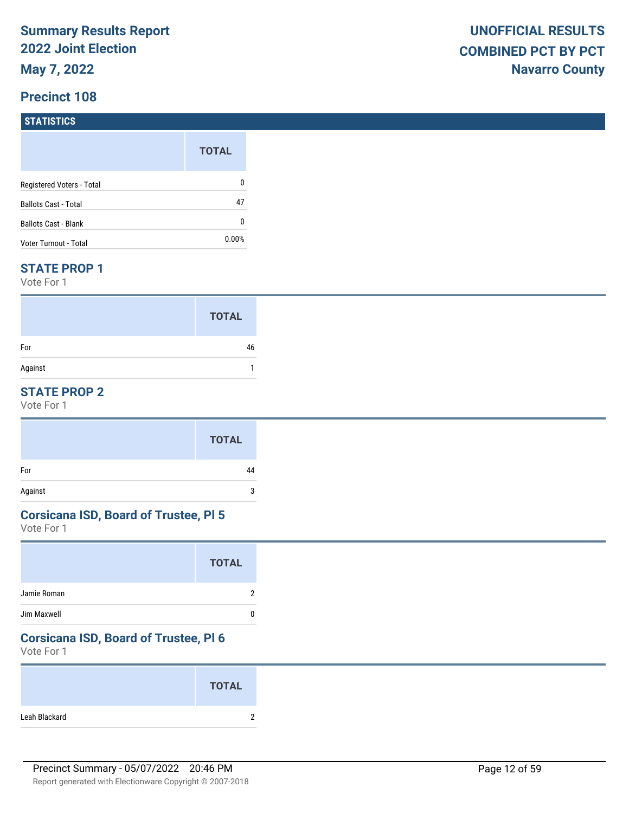#### **STATISTICS**

|                           | <b>TOTAL</b> |
|---------------------------|--------------|
| Registered Voters - Total | 0            |
| Ballots Cast - Total      | 47           |
| Ballots Cast - Blank      | 0            |
| Voter Turnout - Total     | $0.00\%$     |

#### **STATE PROP 1**

Vote For 1

|         | <b>TOTAL</b> |
|---------|--------------|
| For     | 46           |
| Against |              |

### **STATE PROP 2**

Vote For 1

#### **Corsicana ISD, Board of Trustee, Pl 5**

Vote For 1

#### **Corsicana ISD, Board of Trustee, Pl 6**

|               | <b>TOTAL</b>  |
|---------------|---------------|
| Leah Blackard | ⌒<br><u>.</u> |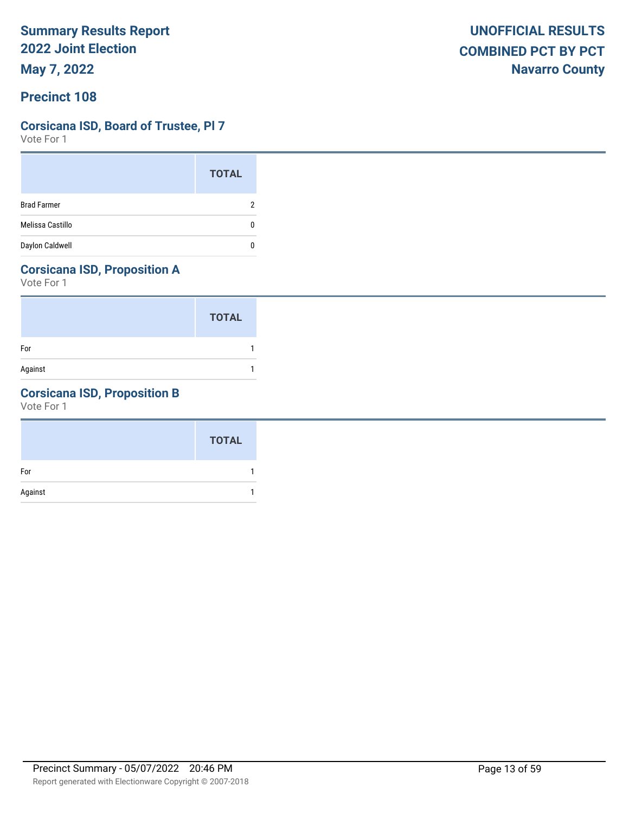# **Corsicana ISD, Board of Trustee, Pl 7**

Vote For 1

|                    | <b>TOTAL</b> |
|--------------------|--------------|
| <b>Brad Farmer</b> |              |
| Melissa Castillo   |              |
| Daylon Caldwell    |              |

# **Corsicana ISD, Proposition A**

Vote For 1

|         | <b>TOTAL</b> |
|---------|--------------|
| For     |              |
| Against |              |

# **Corsicana ISD, Proposition B**

|         | <b>TOTAL</b> |
|---------|--------------|
| For     |              |
| Against |              |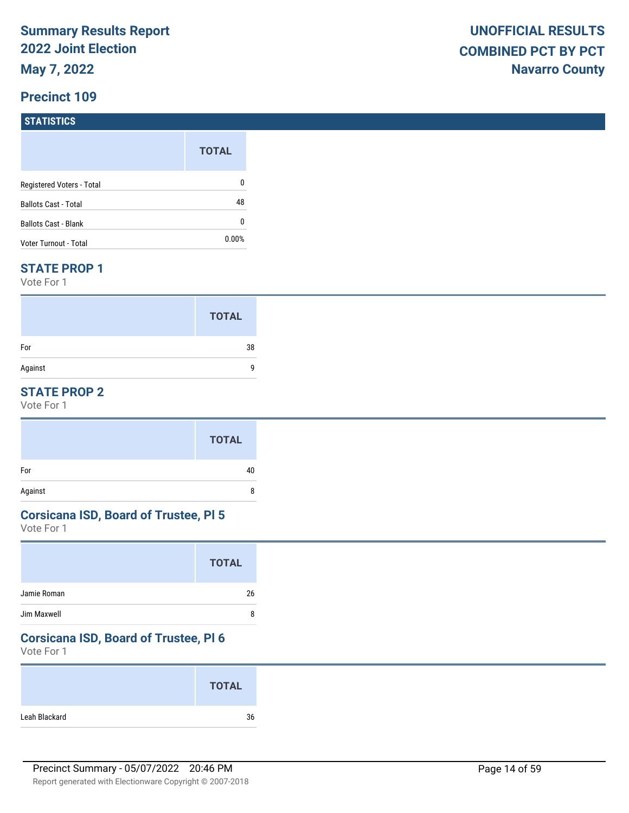# **STATISTICS**

|                             | <b>TOTAL</b> |
|-----------------------------|--------------|
| Registered Voters - Total   | 0            |
| <b>Ballots Cast - Total</b> | 48           |
| Ballots Cast - Blank        | 0            |
| Voter Turnout - Total       | $0.00\%$     |

#### **STATE PROP 1**

Vote For 1

|         | <b>TOTAL</b> |
|---------|--------------|
| For     | 38           |
| Against | q            |

## **STATE PROP 2**

Vote For 1

#### **Corsicana ISD, Board of Trustee, Pl 5**

Vote For 1

# **Corsicana ISD, Board of Trustee, Pl 6**

| <b>TOTAL</b>        |
|---------------------|
| Leah Blackard<br>36 |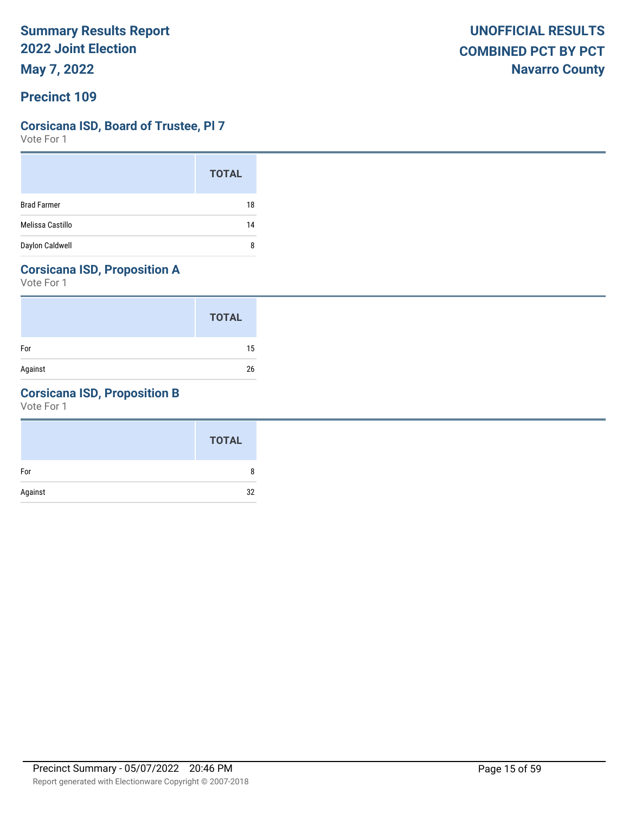# **Corsicana ISD, Board of Trustee, Pl 7**

Vote For 1

|                    | <b>TOTAL</b> |
|--------------------|--------------|
| <b>Brad Farmer</b> | 18           |
| Melissa Castillo   | 14           |
| Daylon Caldwell    | 8            |

# **Corsicana ISD, Proposition A**

Vote For 1

|         | <b>TOTAL</b> |
|---------|--------------|
| For     | 15           |
| Against | 26           |

# **Corsicana ISD, Proposition B**

|         | <b>TOTAL</b> |
|---------|--------------|
| For     | 8            |
| Against | 32           |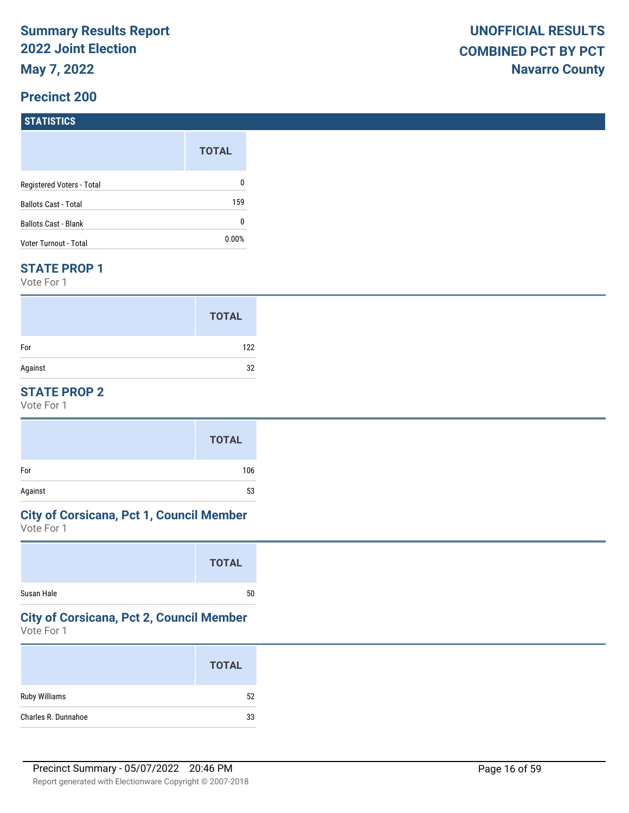# **STATISTICS**

|                             | <b>TOTAL</b> |
|-----------------------------|--------------|
| Registered Voters - Total   | 0            |
| <b>Ballots Cast - Total</b> | 159          |
| <b>Ballots Cast - Blank</b> | 0            |
| Voter Turnout - Total       | $0.00\%$     |

#### **STATE PROP 1**

Vote For 1

|         | <b>TOTAL</b> |
|---------|--------------|
| For     | 122          |
| Against | 32           |

### **STATE PROP 2**

Vote For 1

|         | <b>TOTAL</b> |
|---------|--------------|
| For     | 106          |
| Against | 53           |

# **City of Corsicana, Pct 1, Council Member**

Vote For 1

# **City of Corsicana, Pct 2, Council Member**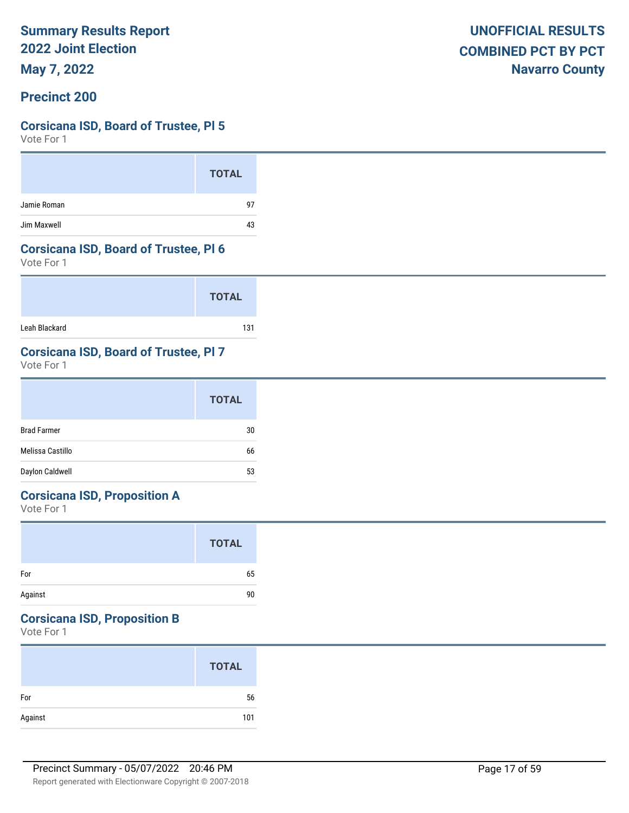**May 7, 2022**

### **Precinct 200**

### **Corsicana ISD, Board of Trustee, Pl 5**

Vote For 1

|             | <b>TOTAL</b> |
|-------------|--------------|
| Jamie Roman | 97           |
| Jim Maxwell | 43           |

#### **Corsicana ISD, Board of Trustee, Pl 6**

Vote For 1

|               | <b>TOTAL</b> |
|---------------|--------------|
| Leah Blackard | 131          |

# **Corsicana ISD, Board of Trustee, Pl 7**

Vote For 1

|                    | <b>TOTAL</b> |
|--------------------|--------------|
| <b>Brad Farmer</b> | 30           |
| Melissa Castillo   | 66           |
| Daylon Caldwell    | 53           |

# **Corsicana ISD, Proposition A**

Vote For 1

|         | <b>TOTAL</b> |  |
|---------|--------------|--|
| For     | 65           |  |
| Against | 90           |  |

# **Corsicana ISD, Proposition B**

|         | <b>TOTAL</b> |
|---------|--------------|
| For     | 56           |
| Against | 101          |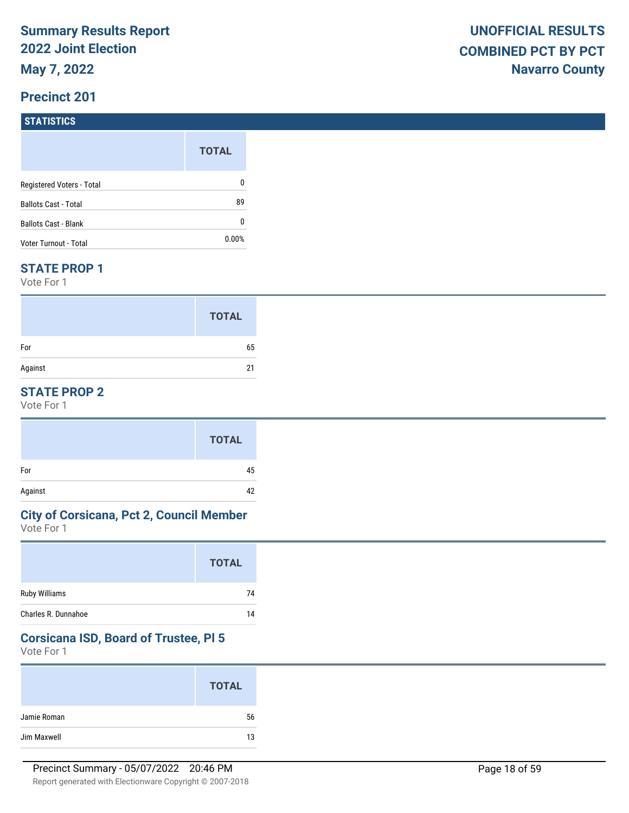# **STATISTICS**

|                           | <b>TOTAL</b> |
|---------------------------|--------------|
| Registered Voters - Total | 0            |
| Ballots Cast - Total      | 89           |
| Ballots Cast - Blank      | 0            |
| Voter Turnout - Total     | $0.00\%$     |

#### **STATE PROP 1**

Vote For 1

|         | <b>TOTAL</b> |
|---------|--------------|
| For     | 65           |
| Against | 21           |

## **STATE PROP 2**

Vote For 1

|         | <b>TOTAL</b> |
|---------|--------------|
| For     | 45           |
| Against | 42           |

### **City of Corsicana, Pct 2, Council Member**

Vote For 1

#### **Corsicana ISD, Board of Trustee, Pl 5**

|             | <b>TOTAL</b> |
|-------------|--------------|
| Jamie Roman | 56           |
| Jim Maxwell | 13           |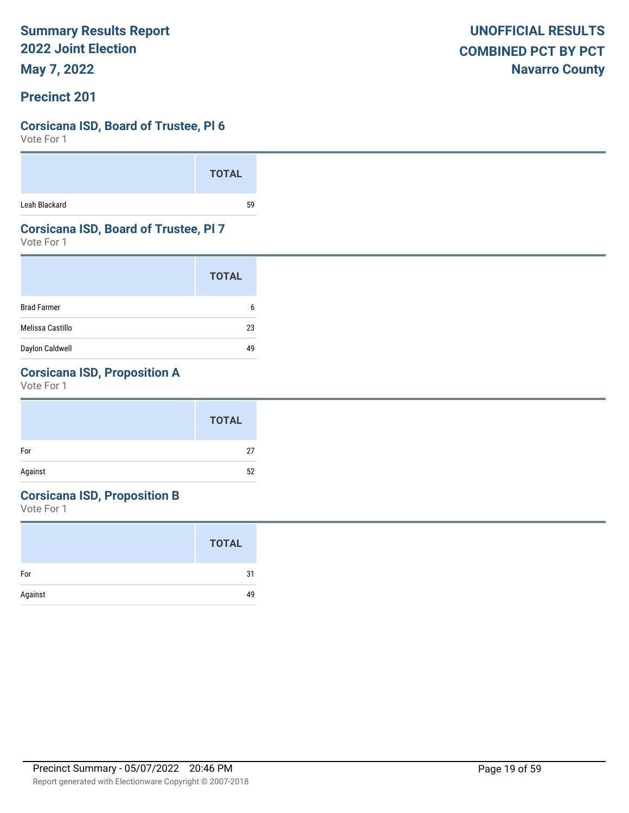**May 7, 2022**

### **Precinct 201**

### **Corsicana ISD, Board of Trustee, Pl 6**

Vote For 1

|               | <b>TOTAL</b> |  |
|---------------|--------------|--|
| Leah Blackard | 59           |  |

### **Corsicana ISD, Board of Trustee, Pl 7**

Vote For 1

|                    | <b>TOTAL</b> |
|--------------------|--------------|
| <b>Brad Farmer</b> | ĥ            |
| Melissa Castillo   | 23           |
| Daylon Caldwell    |              |

# **Corsicana ISD, Proposition A**

Vote For 1

#### **Corsicana ISD, Proposition B**

|         | <b>TOTAL</b> |
|---------|--------------|
| For     | 31           |
| Against | 49           |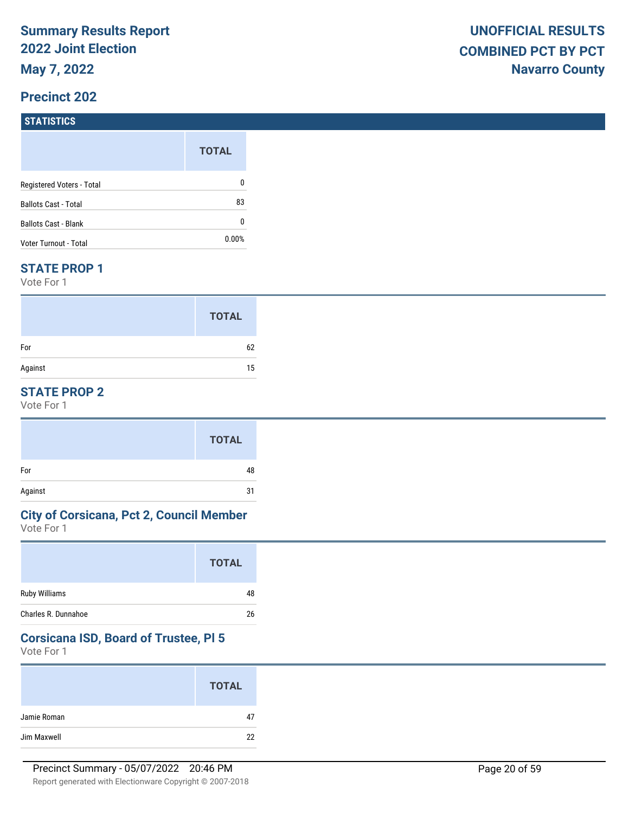# **STATISTICS**

|                             | <b>TOTAL</b> |
|-----------------------------|--------------|
| Registered Voters - Total   | 0            |
| <b>Ballots Cast - Total</b> | 83           |
| Ballots Cast - Blank        | 0            |
| Voter Turnout - Total       | $0.00\%$     |

#### **STATE PROP 1**

Vote For 1

|         | <b>TOTAL</b> |
|---------|--------------|
| For     | 62           |
| Against | 15           |

## **STATE PROP 2**

Vote For 1

### **City of Corsicana, Pct 2, Council Member**

Vote For 1

## **Corsicana ISD, Board of Trustee, Pl 5**

|             | <b>TOTAL</b> |
|-------------|--------------|
| Jamie Roman | 47           |
| Jim Maxwell | 22           |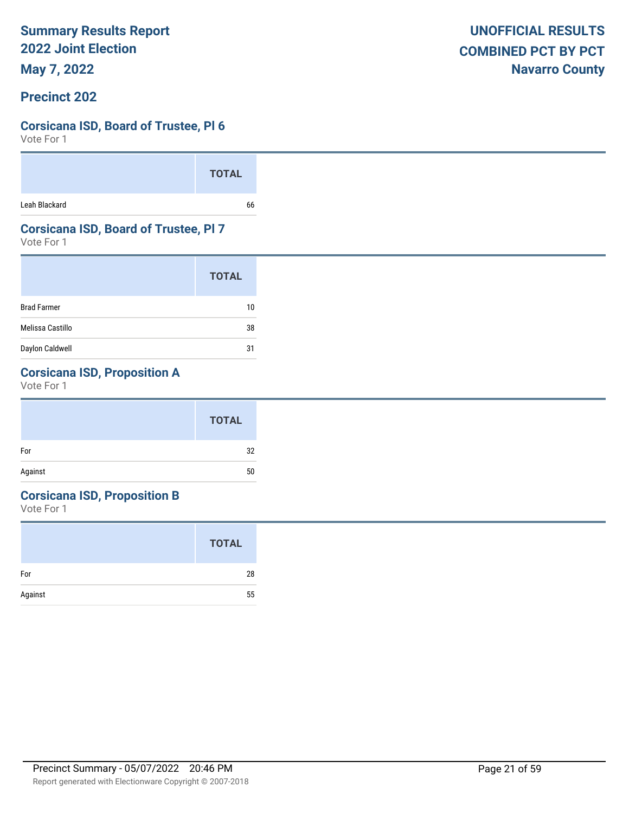**May 7, 2022**

### **Precinct 202**

### **Corsicana ISD, Board of Trustee, Pl 6**

Vote For 1

|               | <b>TOTAL</b> |  |
|---------------|--------------|--|
| Leah Blackard | 66           |  |

### **Corsicana ISD, Board of Trustee, Pl 7**

Vote For 1

|                    | <b>TOTAL</b> |
|--------------------|--------------|
| <b>Brad Farmer</b> | 10           |
| Melissa Castillo   | 38           |
| Daylon Caldwell    | 31           |

# **Corsicana ISD, Proposition A**

Vote For 1

|         | <b>TOTAL</b> |
|---------|--------------|
| For     | 32           |
| Against | 50           |
|         |              |

# **Corsicana ISD, Proposition B**

|         | <b>TOTAL</b> |
|---------|--------------|
| For     | 28           |
| Against | 55           |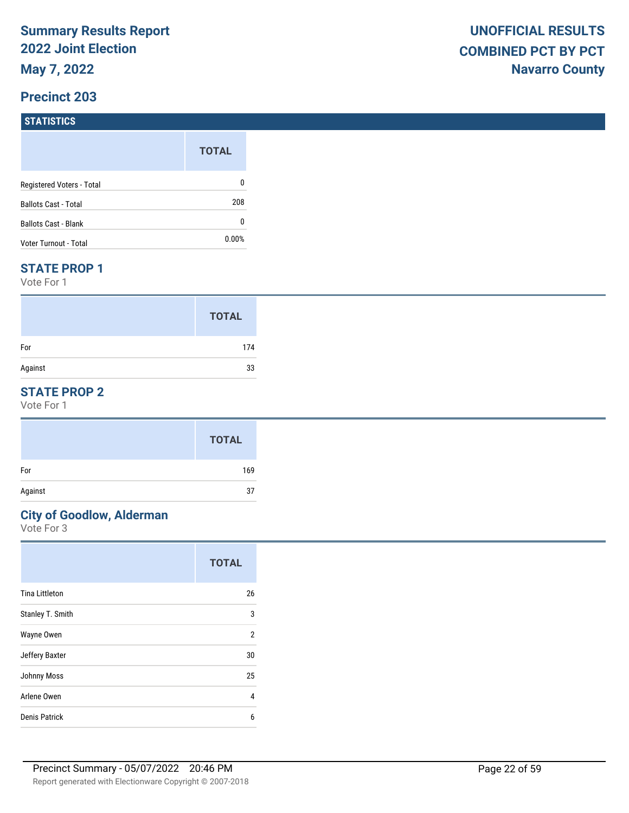#### **STATISTICS**

|                             | <b>TOTAL</b> |
|-----------------------------|--------------|
| Registered Voters - Total   | 0            |
| <b>Ballots Cast - Total</b> | 208          |
| Ballots Cast - Blank        | 0            |
| Voter Turnout - Total       | $0.00\%$     |

#### **STATE PROP 1**

Vote For 1

|         | <b>TOTAL</b> |
|---------|--------------|
| For     | 174          |
| Against | 33           |

### **STATE PROP 2**

Vote For 1

#### **City of Goodlow, Alderman**

|                       | <b>TOTAL</b>   |
|-----------------------|----------------|
| <b>Tina Littleton</b> | 26             |
| Stanley T. Smith      | 3              |
| Wayne Owen            | $\overline{2}$ |
| Jeffery Baxter        | 30             |
| <b>Johnny Moss</b>    | 25             |
| Arlene Owen           | 4              |
| Denis Patrick         | 6              |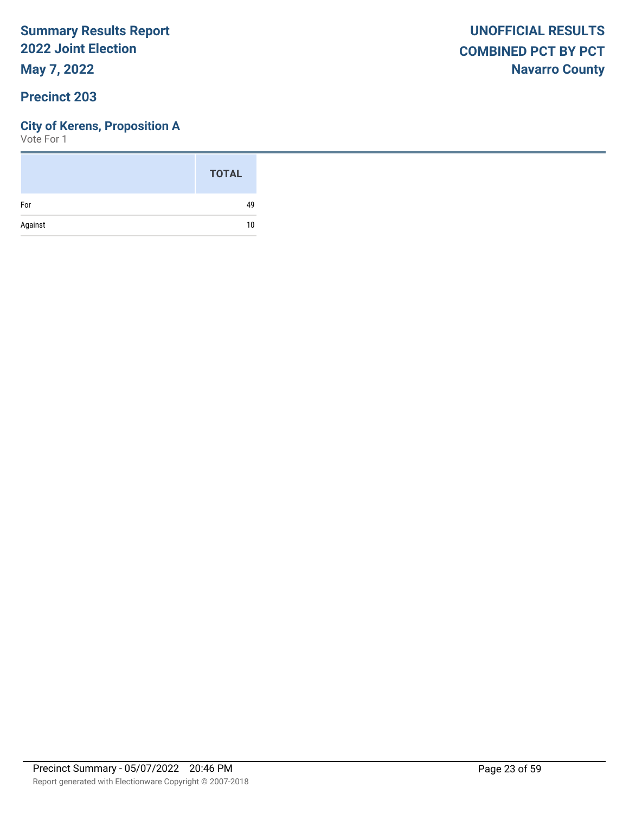**May 7, 2022**

### **Precinct 203**

### **City of Kerens, Proposition A**

|         | <b>TOTAL</b> |
|---------|--------------|
| For     | 49           |
| Against | 10           |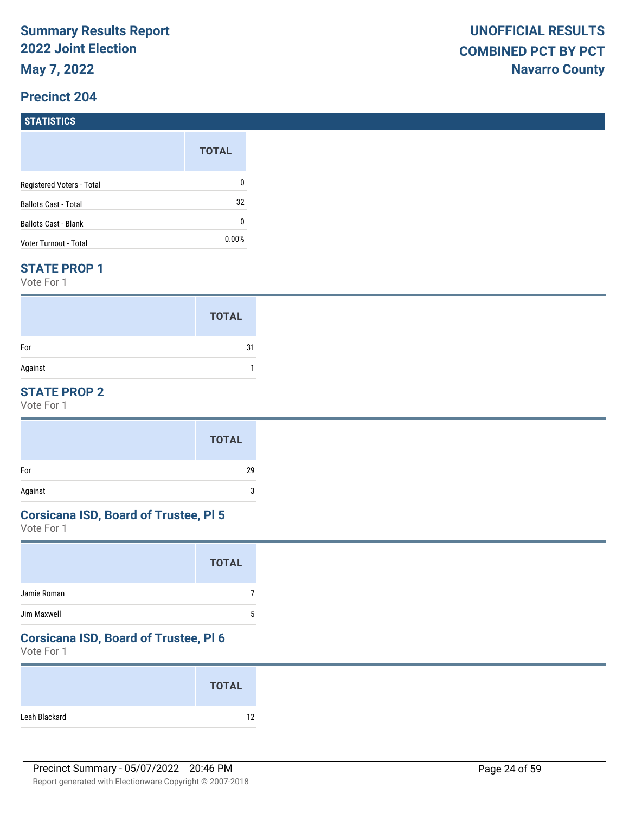### **STATISTICS**

|                           | <b>TOTAL</b> |
|---------------------------|--------------|
| Registered Voters - Total | 0            |
| Ballots Cast - Total      | 32           |
| Ballots Cast - Blank      | 0            |
| Voter Turnout - Total     | $0.00\%$     |

#### **STATE PROP 1**

Vote For 1

|         | <b>TOTAL</b> |
|---------|--------------|
| For     | 31           |
| Against |              |

### **STATE PROP 2**

Vote For 1

#### **Corsicana ISD, Board of Trustee, Pl 5**

Vote For 1

#### **Corsicana ISD, Board of Trustee, Pl 6**

|               | <b>TOTAL</b> |
|---------------|--------------|
| Leah Blackard | 12           |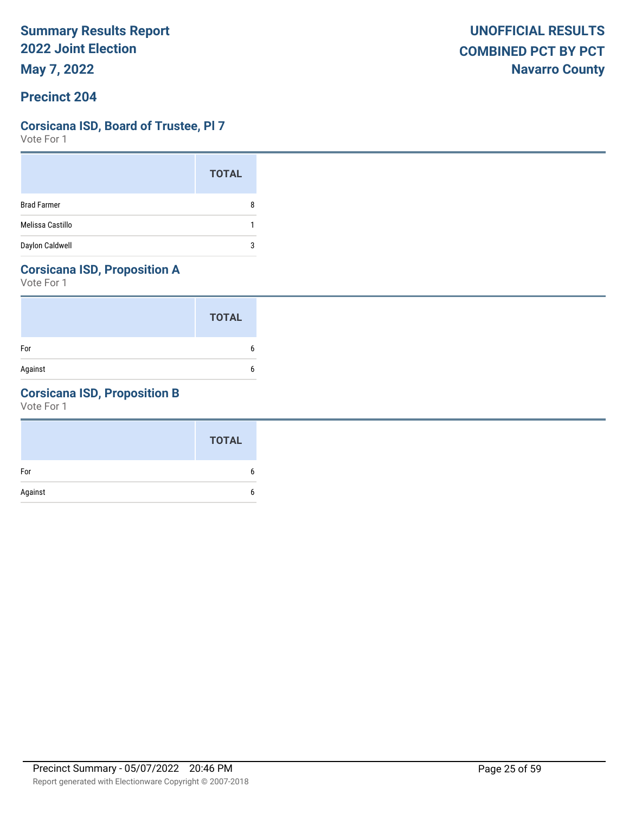# **Corsicana ISD, Board of Trustee, Pl 7**

Vote For 1

|                    | <b>TOTAL</b> |
|--------------------|--------------|
| <b>Brad Farmer</b> | 8            |
| Melissa Castillo   |              |
| Daylon Caldwell    | 3            |

# **Corsicana ISD, Proposition A**

Vote For 1

|         | <b>TOTAL</b> |
|---------|--------------|
| For     | 6            |
| Against | 6            |

# **Corsicana ISD, Proposition B**

|         | <b>TOTAL</b> |
|---------|--------------|
| For     |              |
| Against |              |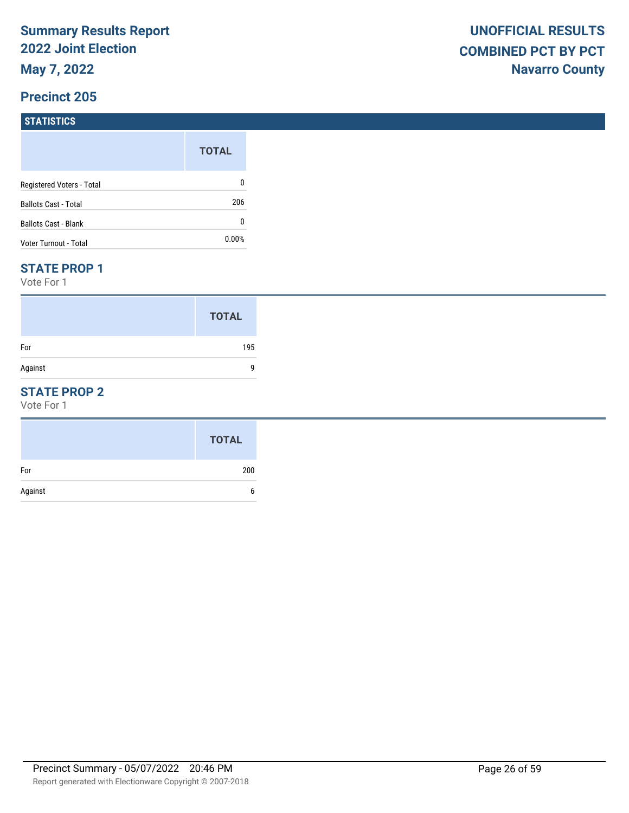# **STATISTICS**

|                             | <b>TOTAL</b> |
|-----------------------------|--------------|
| Registered Voters - Total   | 0            |
| <b>Ballots Cast - Total</b> | 206          |
| <b>Ballots Cast - Blank</b> | 0            |
| Voter Turnout - Total       | $0.00\%$     |

#### **STATE PROP 1**

Vote For 1

|         | <b>TOTAL</b> |
|---------|--------------|
| For     | 195          |
| Against | a            |

### **STATE PROP 2**

|         | <b>TOTAL</b> |
|---------|--------------|
| For     | 200          |
| Against | h            |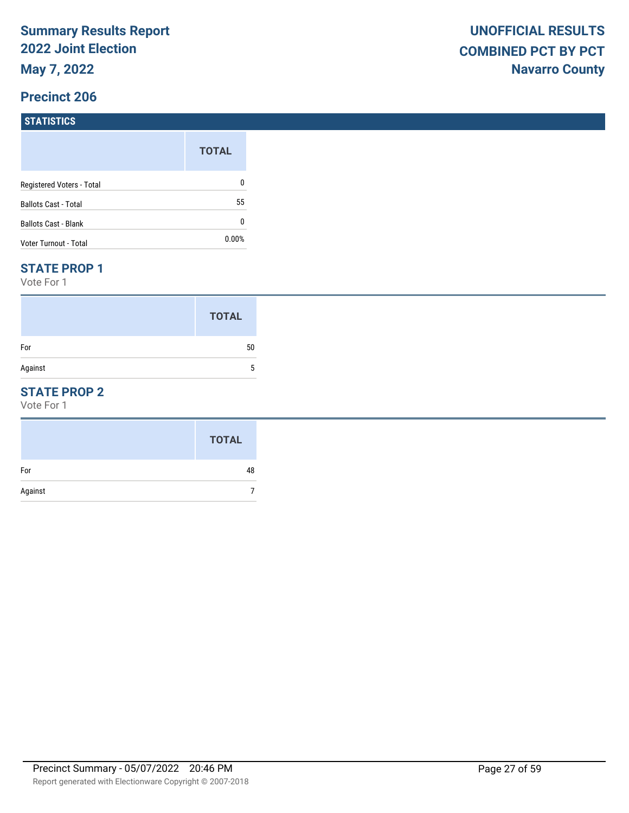# **STATISTICS**

|                           | <b>TOTAL</b> |
|---------------------------|--------------|
| Registered Voters - Total | 0            |
| Ballots Cast - Total      | 55           |
| Ballots Cast - Blank      | 0            |
| Voter Turnout - Total     | $0.00\%$     |

#### **STATE PROP 1**

Vote For 1

|         | <b>TOTAL</b> |
|---------|--------------|
| For     | 50           |
| Against |              |

### **STATE PROP 2**

|         | <b>TOTAL</b> |
|---------|--------------|
| For     | 48           |
| Against |              |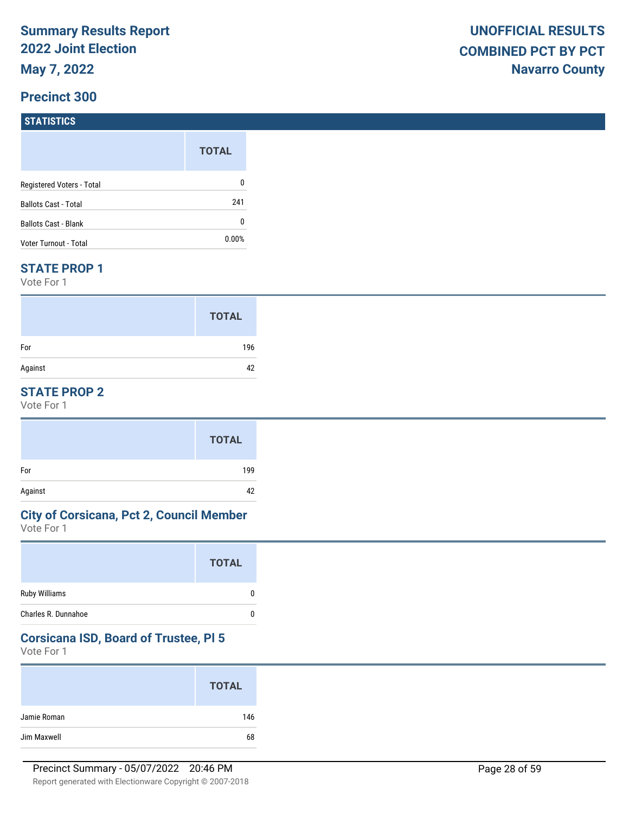# **STATISTICS**

|                             | <b>TOTAL</b> |
|-----------------------------|--------------|
| Registered Voters - Total   | 0            |
| <b>Ballots Cast - Total</b> | 241          |
| Ballots Cast - Blank        | 0            |
| Voter Turnout - Total       | $0.00\%$     |

#### **STATE PROP 1**

Vote For 1

|         | <b>TOTAL</b> |
|---------|--------------|
| For     | 196          |
| Against | 42           |

## **STATE PROP 2**

Vote For 1

|         | <b>TOTAL</b> |
|---------|--------------|
| For     | 199          |
| Against | 42           |

### **City of Corsicana, Pct 2, Council Member**

Vote For 1

| Ruby Williams<br>0       |
|--------------------------|
| Charles R. Dunnahoe<br>0 |

#### **Corsicana ISD, Board of Trustee, Pl 5**

|             | <b>TOTAL</b> |
|-------------|--------------|
| Jamie Roman | 146          |
| Jim Maxwell | 68           |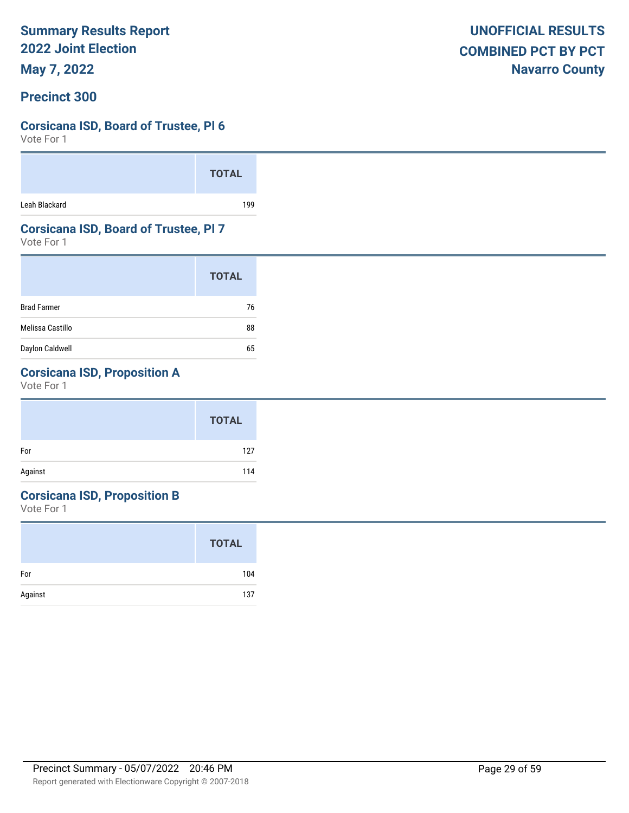**May 7, 2022**

### **Precinct 300**

### **Corsicana ISD, Board of Trustee, Pl 6**

Vote For 1

|               | <b>TOTAL</b> |  |
|---------------|--------------|--|
| Leah Blackard | 199          |  |

### **Corsicana ISD, Board of Trustee, Pl 7**

Vote For 1

|                    | <b>TOTAL</b> |
|--------------------|--------------|
| <b>Brad Farmer</b> | 76           |
| Melissa Castillo   | 88           |
| Daylon Caldwell    | 65           |

# **Corsicana ISD, Proposition A**

Vote For 1

|         | <b>TOTAL</b> |
|---------|--------------|
| For     | 127          |
| Against | 114          |

# **Corsicana ISD, Proposition B**

|         | <b>TOTAL</b> |
|---------|--------------|
| For     | 104          |
| Against | 137          |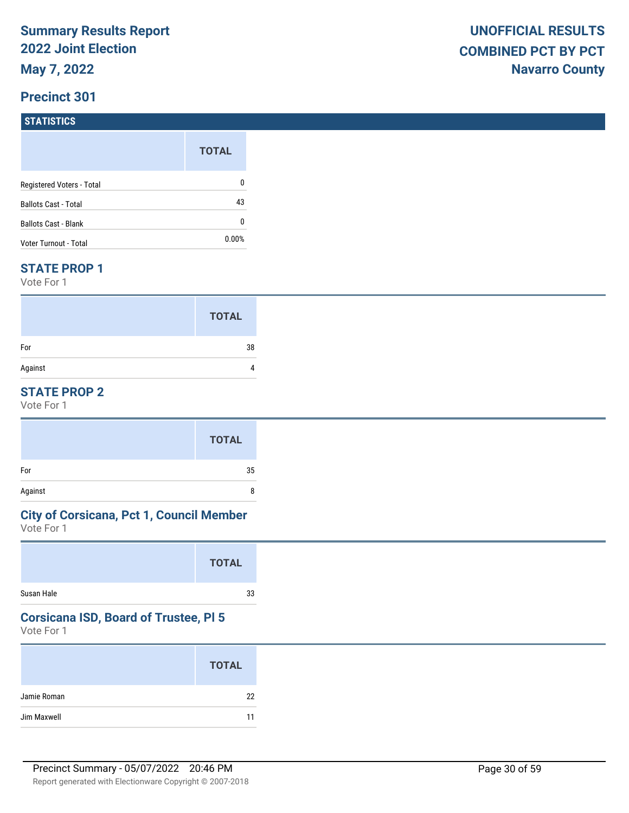# **STATISTICS**

|                             | <b>TOTAL</b> |
|-----------------------------|--------------|
| Registered Voters - Total   | 0            |
| <b>Ballots Cast - Total</b> | 43           |
| <b>Ballots Cast - Blank</b> | 0            |
| Voter Turnout - Total       | $0.00\%$     |

#### **STATE PROP 1**

Vote For 1

|         | <b>TOTAL</b> |
|---------|--------------|
| For     | 38           |
| Against |              |

## **STATE PROP 2**

Vote For 1

|         | <b>TOTAL</b> |
|---------|--------------|
| For     | 35           |
| Against | 8            |

# **City of Corsicana, Pct 1, Council Member**

Vote For 1

|            | <b>TOTAL</b> |
|------------|--------------|
| Susan Hale | 33           |

# **Corsicana ISD, Board of Trustee, Pl 5**

|             | <b>TOTAL</b> |
|-------------|--------------|
| Jamie Roman | 22           |
| Jim Maxwell | 11           |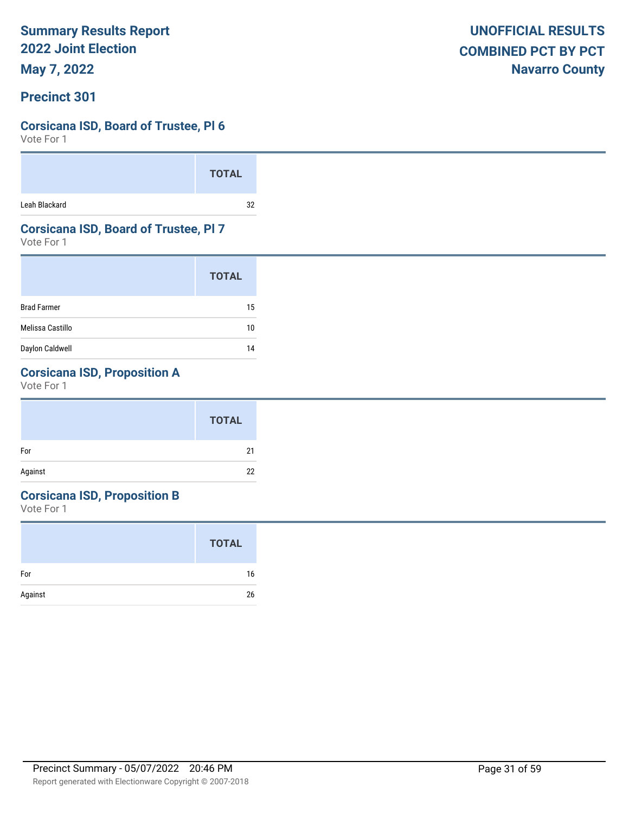**May 7, 2022**

### **Precinct 301**

### **Corsicana ISD, Board of Trustee, Pl 6**

Vote For 1

|               | <b>TOTAL</b> |  |
|---------------|--------------|--|
| Leah Blackard | つ            |  |

### **Corsicana ISD, Board of Trustee, Pl 7**

Vote For 1

|                    | <b>TOTAL</b> |
|--------------------|--------------|
| <b>Brad Farmer</b> | 15           |
| Melissa Castillo   | 10           |
| Daylon Caldwell    | 14           |

# **Corsicana ISD, Proposition A**

Vote For 1

#### **Corsicana ISD, Proposition B**

|         | <b>TOTAL</b> |
|---------|--------------|
| For     | 16           |
| Against | 26           |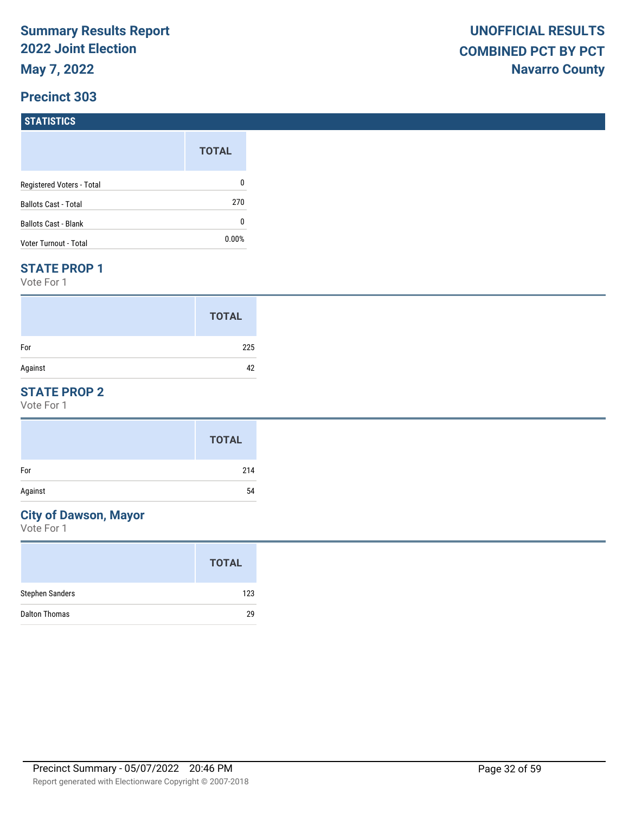#### **STATISTICS**

|                             | <b>TOTAL</b> |
|-----------------------------|--------------|
| Registered Voters - Total   | 0            |
| <b>Ballots Cast - Total</b> | 270          |
| Ballots Cast - Blank        | 0            |
| Voter Turnout - Total       | 0.00%        |

#### **STATE PROP 1**

Vote For 1

|         | <b>TOTAL</b> |
|---------|--------------|
| For     | 225          |
| Against | 42           |

## **STATE PROP 2**

Vote For 1

#### **City of Dawson, Mayor**

|                        | <b>TOTAL</b> |
|------------------------|--------------|
| <b>Stephen Sanders</b> | 123          |
| <b>Dalton Thomas</b>   | 29           |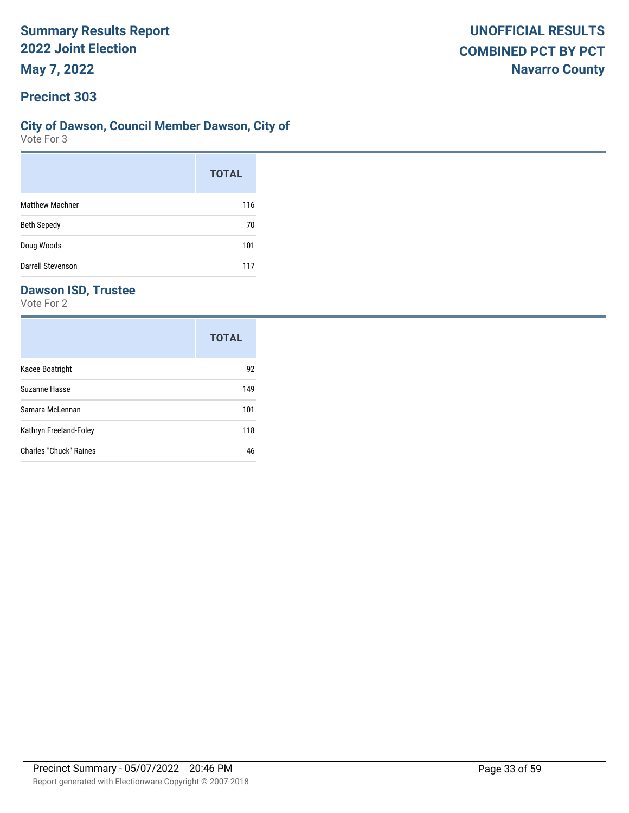# **City of Dawson, Council Member Dawson, City of**

Vote For 3

|                          | <b>TOTAL</b> |
|--------------------------|--------------|
| <b>Matthew Machner</b>   | 116          |
| <b>Beth Sepedy</b>       | 70           |
| Doug Woods               | 101          |
| <b>Darrell Stevenson</b> | 117          |

# **Dawson ISD, Trustee**

|                        | <b>TOTAL</b> |
|------------------------|--------------|
| Kacee Boatright        | 92           |
| Suzanne Hasse          | 149          |
| Samara McLennan        | 101          |
| Kathryn Freeland-Foley | 118          |
| Charles "Chuck" Raines | 46           |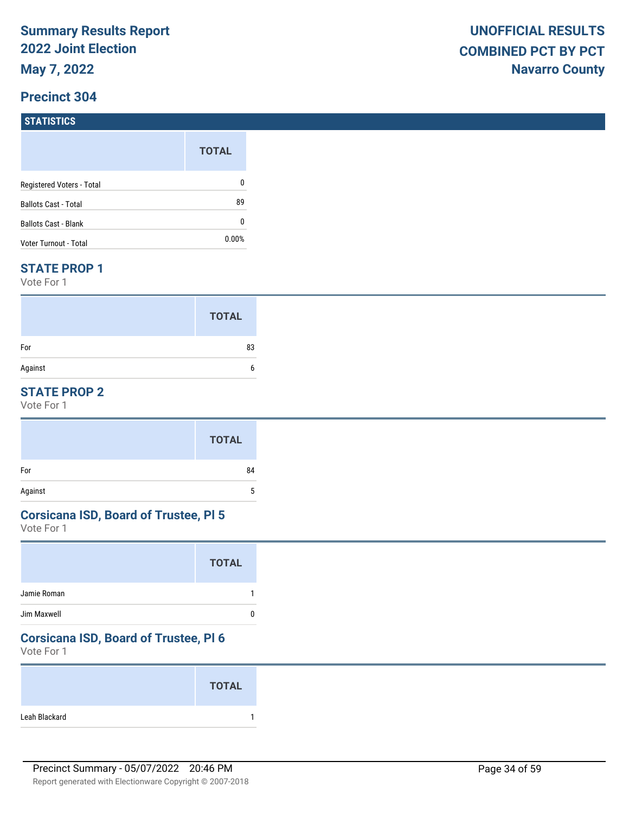**STATISTICS**

| -----------                 |              |
|-----------------------------|--------------|
|                             | <b>TOTAL</b> |
| Registered Voters - Total   | 0            |
| <b>Ballots Cast - Total</b> | 89           |
| <b>Ballots Cast - Blank</b> | 0            |
| Voter Turnout - Total       | $0.00\%$     |

#### **STATE PROP 1**

Vote For 1

|         | <b>TOTAL</b> |
|---------|--------------|
| For     | 83           |
| Against |              |

## **STATE PROP 2**

Vote For 1

| For     | 84 |
|---------|----|
| Against | J  |

#### **Corsicana ISD, Board of Trustee, Pl 5**

Vote For 1

#### **Corsicana ISD, Board of Trustee, Pl 6**

|               | <b>TOTAL</b> |
|---------------|--------------|
| Leah Blackard |              |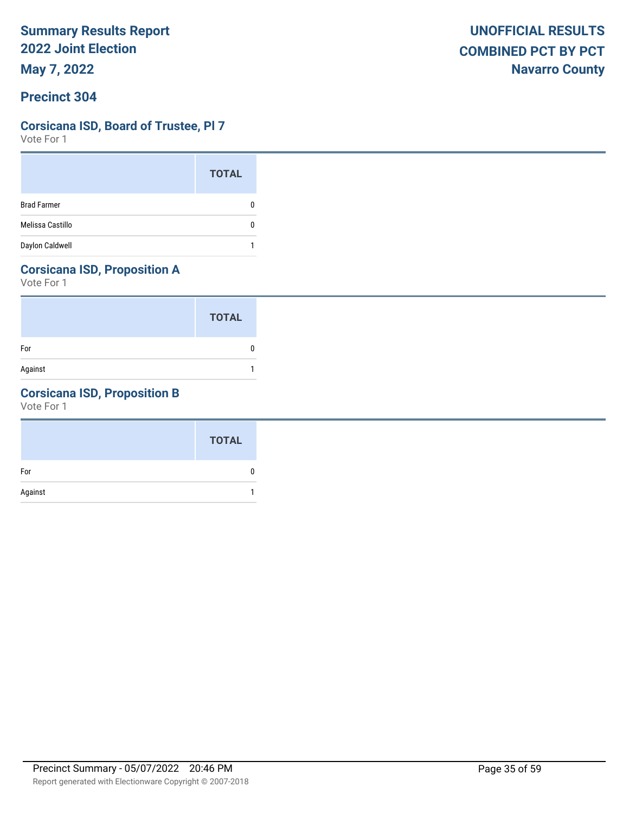# **Corsicana ISD, Board of Trustee, Pl 7**

Vote For 1

|                    | <b>TOTAL</b> |
|--------------------|--------------|
| <b>Brad Farmer</b> |              |
| Melissa Castillo   |              |
| Daylon Caldwell    |              |

# **Corsicana ISD, Proposition A**

Vote For 1

|         | <b>TOTAL</b> |
|---------|--------------|
| For     |              |
| Against |              |

# **Corsicana ISD, Proposition B**

|         | <b>TOTAL</b> |
|---------|--------------|
| For     |              |
| Against |              |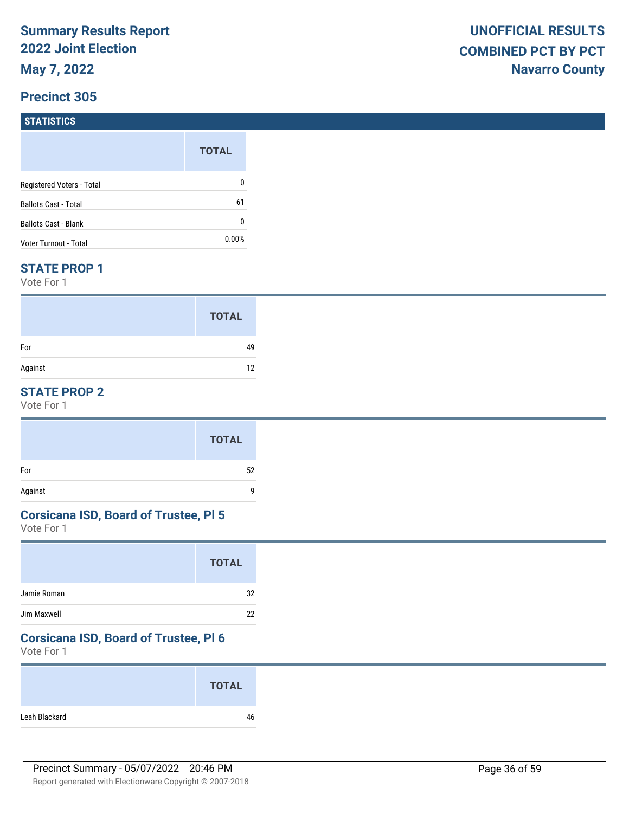# **STATISTICS**

|                             | <b>TOTAL</b> |
|-----------------------------|--------------|
| Registered Voters - Total   | 0            |
| <b>Ballots Cast - Total</b> | 61           |
| <b>Ballots Cast - Blank</b> | 0            |
| Voter Turnout - Total       | $0.00\%$     |

#### **STATE PROP 1**

Vote For 1

|         | <b>TOTAL</b> |
|---------|--------------|
| For     | 49           |
| Against | 12           |

## **STATE PROP 2**

Vote For 1

#### **Corsicana ISD, Board of Trustee, Pl 5**

Vote For 1

## **Corsicana ISD, Board of Trustee, Pl 6**

|               | <b>TOTAL</b> |
|---------------|--------------|
| Leah Blackard | 46           |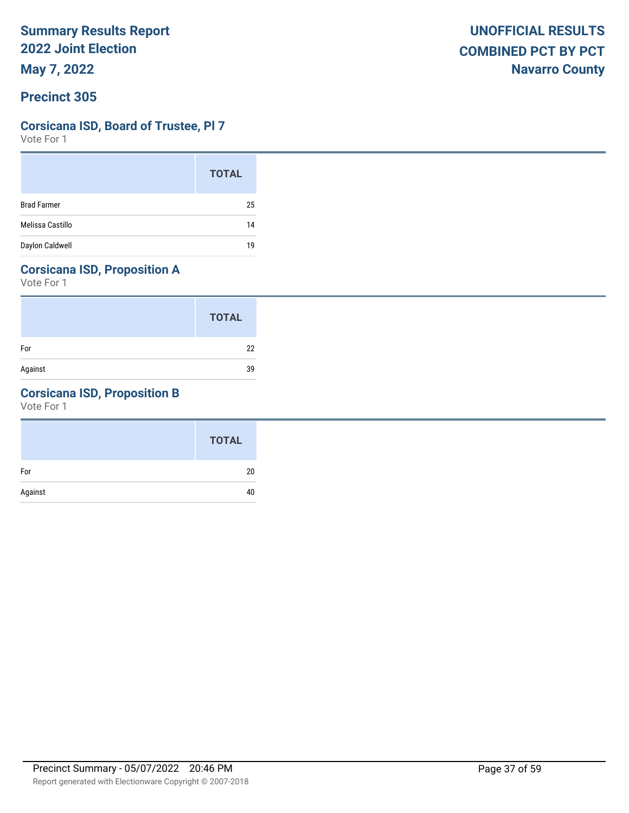**May 7, 2022**

# **Corsicana ISD, Board of Trustee, Pl 7**

Vote For 1

|                    | <b>TOTAL</b> |
|--------------------|--------------|
| <b>Brad Farmer</b> | 25           |
| Melissa Castillo   | 14           |
| Daylon Caldwell    | 19           |

# **Corsicana ISD, Proposition A**

Vote For 1

|         | <b>TOTAL</b> |
|---------|--------------|
| For     | 22           |
| Against | 39           |

# **Corsicana ISD, Proposition B**

|         | <b>TOTAL</b> |
|---------|--------------|
| For     | 20           |
| Against | 40           |
|         |              |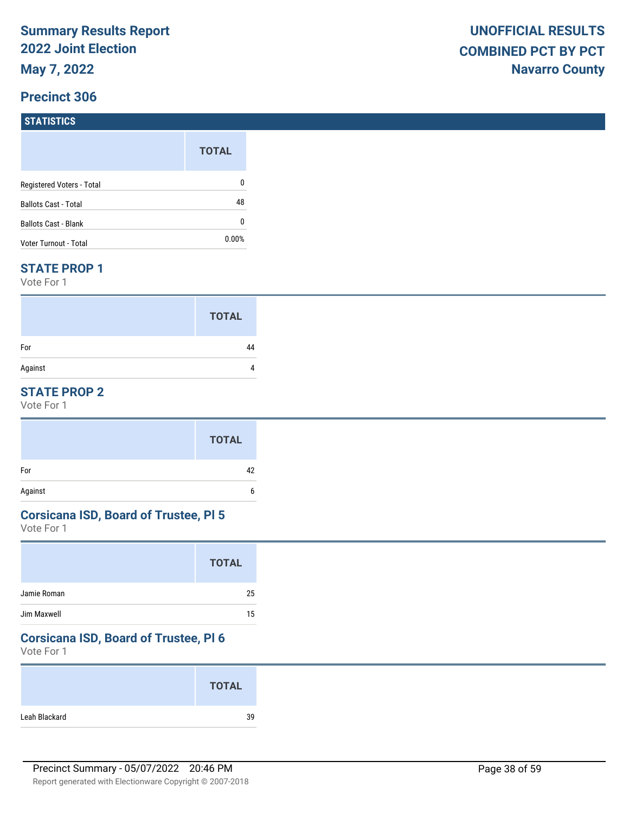# **STATISTICS**

|                             | <b>TOTAL</b> |
|-----------------------------|--------------|
| Registered Voters - Total   | 0            |
| <b>Ballots Cast - Total</b> | 48           |
| <b>Ballots Cast - Blank</b> | 0            |
| Voter Turnout - Total       | $0.00\%$     |

#### **STATE PROP 1**

Vote For 1

|         | <b>TOTAL</b> |
|---------|--------------|
| For     | 44           |
| Against |              |

### **STATE PROP 2**

Vote For 1

#### **Corsicana ISD, Board of Trustee, Pl 5**

Vote For 1

|             | <b>TOTAL</b> |
|-------------|--------------|
| Jamie Roman | 25           |
| Jim Maxwell | 15           |

## **Corsicana ISD, Board of Trustee, Pl 6**

|               | <b>TOTAL</b> |
|---------------|--------------|
| Leah Blackard | 39           |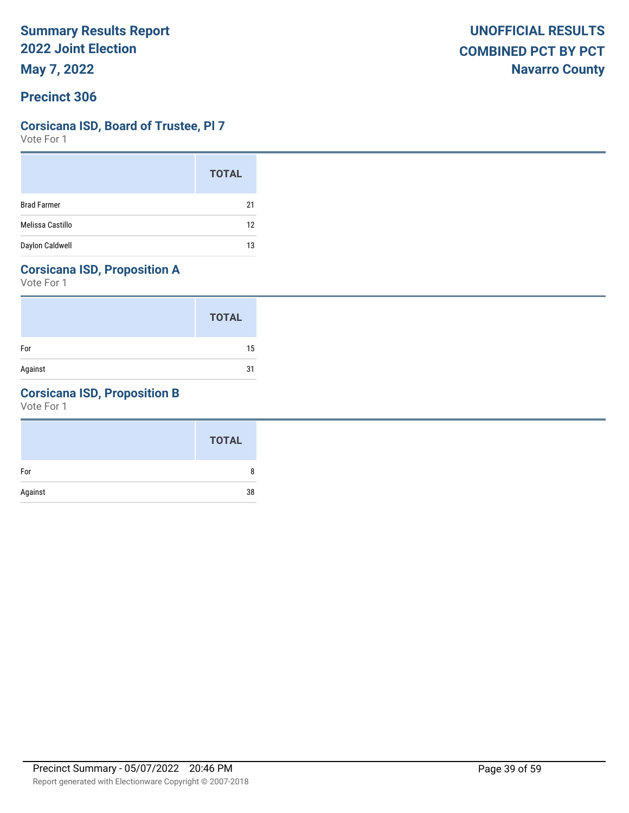### **Corsicana ISD, Board of Trustee, Pl 7**

Vote For 1

|                    | <b>TOTAL</b> |
|--------------------|--------------|
| <b>Brad Farmer</b> | 21           |
| Melissa Castillo   | 12           |
| Daylon Caldwell    | 13           |

# **Corsicana ISD, Proposition A**

Vote For 1

|         | <b>TOTAL</b> |
|---------|--------------|
| For     | 15           |
| Against | 31           |

# **Corsicana ISD, Proposition B**

|         | <b>TOTAL</b> |
|---------|--------------|
| For     | 8            |
| Against | 38           |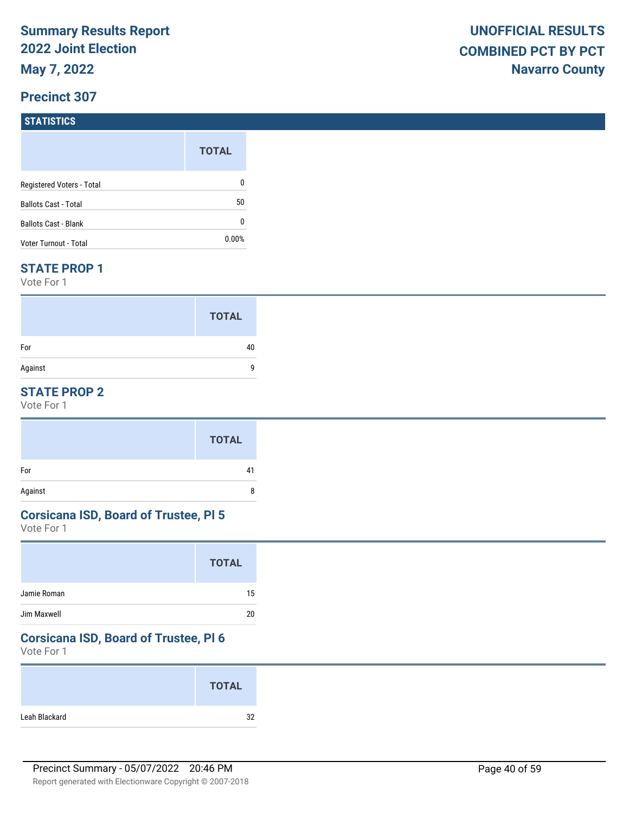#### **STATISTICS**

|                           | <b>TOTAL</b> |
|---------------------------|--------------|
| Registered Voters - Total | 0            |
| Ballots Cast - Total      | 50           |
| Ballots Cast - Blank      | 0            |
| Voter Turnout - Total     | $0.00\%$     |

#### **STATE PROP 1**

Vote For 1

|         | <b>TOTAL</b> |
|---------|--------------|
| For     | 40           |
| Against | q            |

## **STATE PROP 2**

Vote For 1

#### **Corsicana ISD, Board of Trustee, Pl 5**

Vote For 1

## **Corsicana ISD, Board of Trustee, Pl 6**

|               | <b>TOTAL</b> |
|---------------|--------------|
| Leah Blackard | 32           |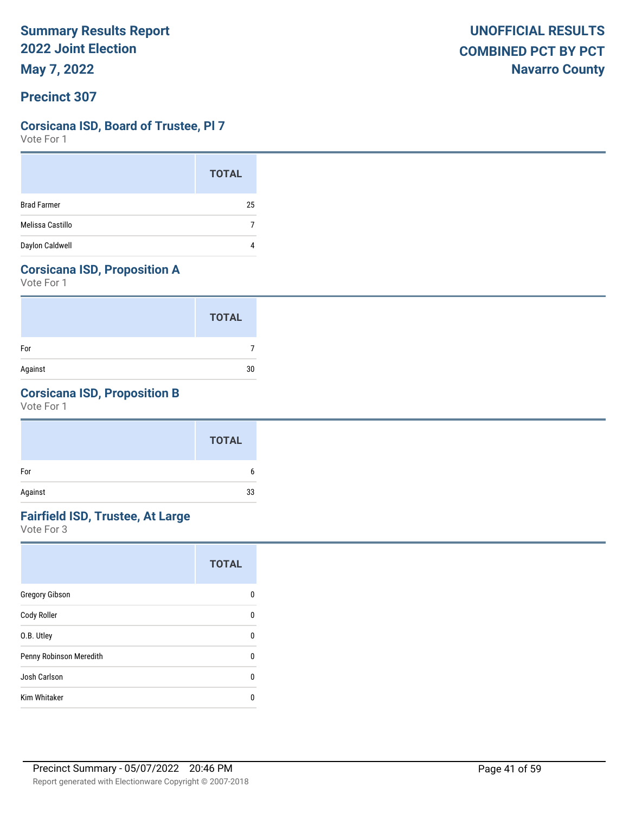**May 7, 2022**

### **Precinct 307**

#### **Corsicana ISD, Board of Trustee, Pl 7**

Vote For 1

|                    | <b>TOTAL</b> |
|--------------------|--------------|
| <b>Brad Farmer</b> | 25           |
| Melissa Castillo   |              |
| Daylon Caldwell    |              |

# **Corsicana ISD, Proposition A**

Vote For 1

|         | <b>TOTAL</b> |
|---------|--------------|
| For     |              |
| Against | 30           |

## **Corsicana ISD, Proposition B**

Vote For 1

|         | <b>TOTAL</b> |
|---------|--------------|
| For     | b            |
| Against | 33           |

# **Fairfield ISD, Trustee, At Large**

|                         | <b>TOTAL</b> |
|-------------------------|--------------|
| <b>Gregory Gibson</b>   | n            |
| Cody Roller             | U            |
| O.B. Utley              | U            |
| Penny Robinson Meredith | U            |
| Josh Carlson            | U            |
| <b>Kim Whitaker</b>     | n            |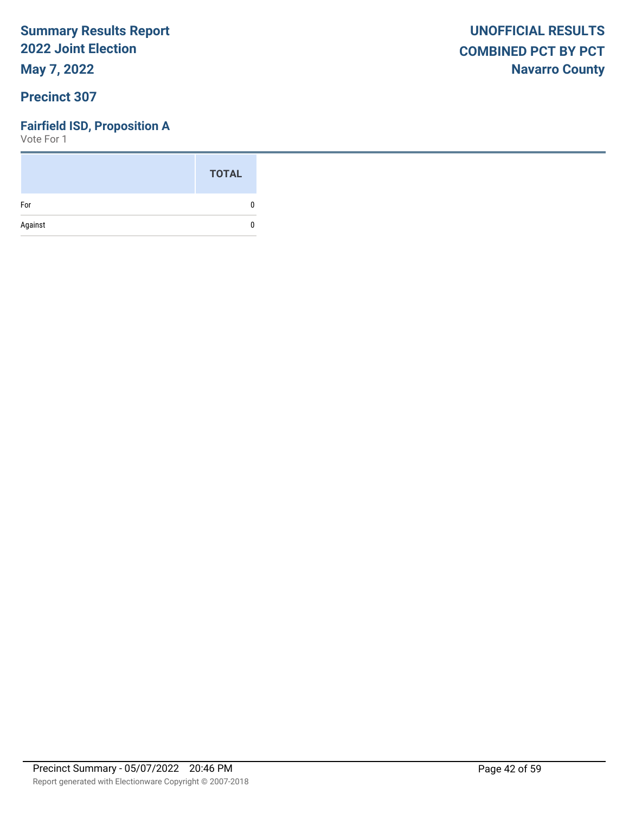**May 7, 2022**

# **Precinct 307**

## **Fairfield ISD, Proposition A**

|         | <b>TOTAL</b> |
|---------|--------------|
| For     | n            |
| Against | n            |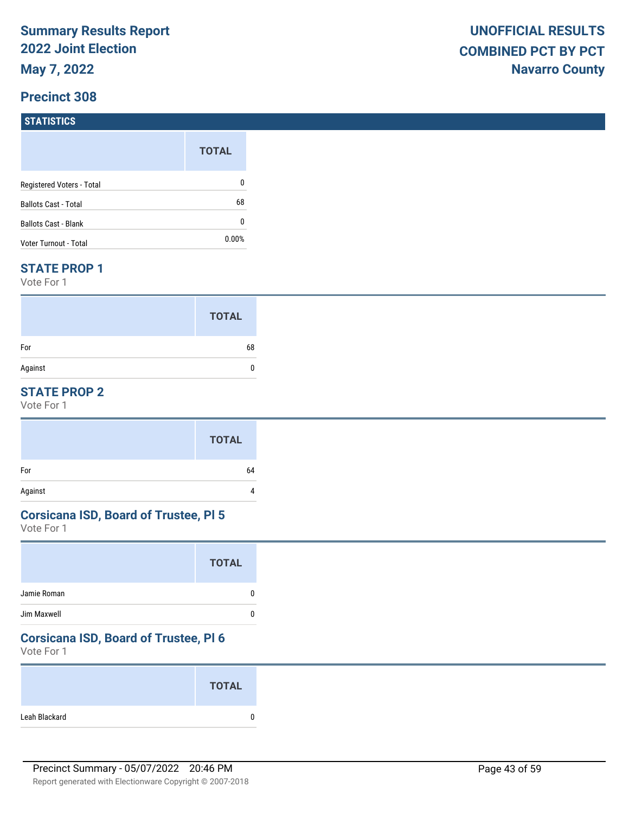# **STATISTICS**

|                             | <b>TOTAL</b> |
|-----------------------------|--------------|
| Registered Voters - Total   | 0            |
| <b>Ballots Cast - Total</b> | 68           |
| <b>Ballots Cast - Blank</b> | 0            |
| Voter Turnout - Total       | $0.00\%$     |

#### **STATE PROP 1**

Vote For 1

|         | <b>TOTAL</b> |
|---------|--------------|
| For     | 68           |
| Against | 0            |

### **STATE PROP 2**

Vote For 1

# **Corsicana ISD, Board of Trustee, Pl 5**

Vote For 1

#### **Corsicana ISD, Board of Trustee, Pl 6**

|               | <b>TOTAL</b> |
|---------------|--------------|
| Leah Blackard |              |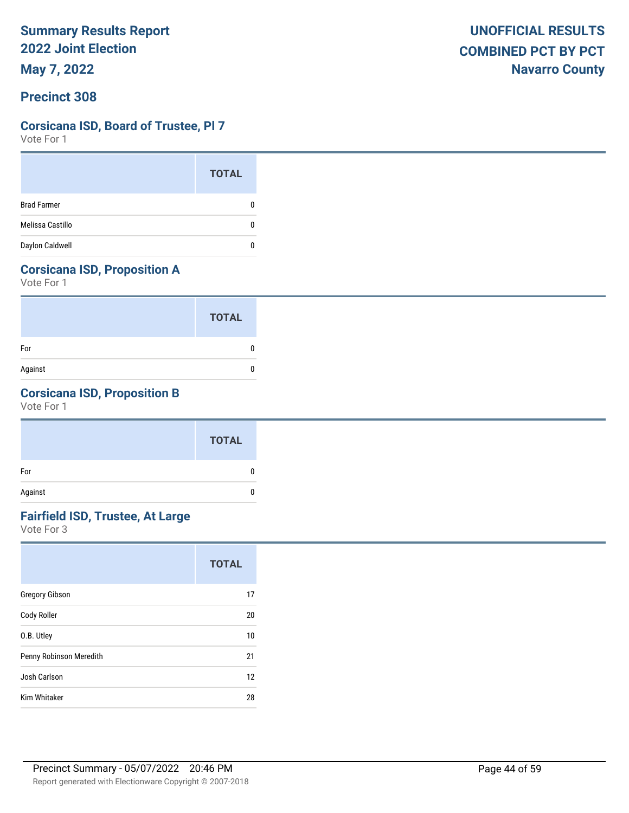**May 7, 2022**

# **Corsicana ISD, Board of Trustee, Pl 7**

Vote For 1

|                    | <b>TOTAL</b> |
|--------------------|--------------|
| <b>Brad Farmer</b> |              |
| Melissa Castillo   |              |
| Daylon Caldwell    |              |

# **Corsicana ISD, Proposition A**

Vote For 1

|         | <b>TOTAL</b> |
|---------|--------------|
| For     |              |
| Against |              |

# **Corsicana ISD, Proposition B**

Vote For 1

|         | <b>TOTAL</b> |
|---------|--------------|
| For     | 0            |
| Against | 0            |

# **Fairfield ISD, Trustee, At Large**

|                         | <b>TOTAL</b> |
|-------------------------|--------------|
| <b>Gregory Gibson</b>   | 17           |
| Cody Roller             | 20           |
| O.B. Utley              | 10           |
| Penny Robinson Meredith | 21           |
| Josh Carlson            | 12           |
| <b>Kim Whitaker</b>     | 28           |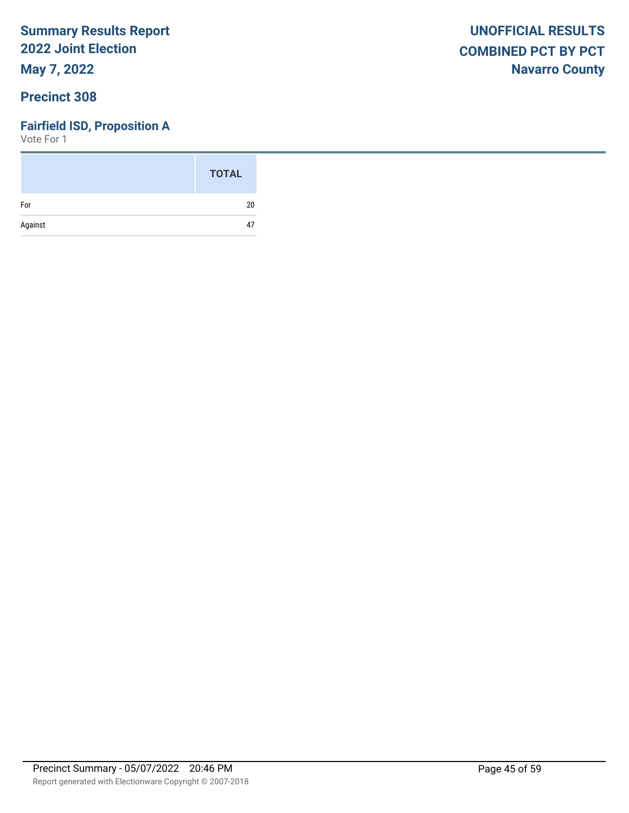**May 7, 2022**

# **Precinct 308**

## **Fairfield ISD, Proposition A**

|         | <b>TOTAL</b> |
|---------|--------------|
| For     | 20           |
| Against | 47           |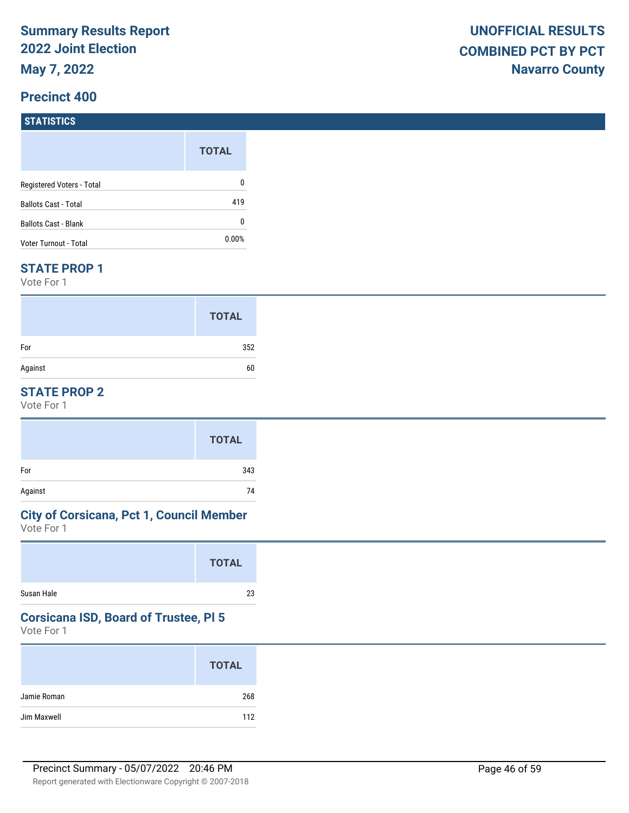# **STATISTICS**

|                             | <b>TOTAL</b> |
|-----------------------------|--------------|
| Registered Voters - Total   | 0            |
| <b>Ballots Cast - Total</b> | 419          |
| Ballots Cast - Blank        | 0            |
| Voter Turnout - Total       | $0.00\%$     |

#### **STATE PROP 1**

Vote For 1

|         | <b>TOTAL</b> |
|---------|--------------|
| For     | 352          |
| Against | 60           |

### **STATE PROP 2**

Vote For 1

|         | <b>TOTAL</b> |
|---------|--------------|
| For     | 343          |
| Against | 74           |

# **City of Corsicana, Pct 1, Council Member**

Vote For 1

|            | <b>TOTAL</b> |
|------------|--------------|
| Susan Hale | 23           |

# **Corsicana ISD, Board of Trustee, Pl 5**

| <b>TOTAL</b>       |
|--------------------|
| Jamie Roman<br>268 |
| Jim Maxwell<br>112 |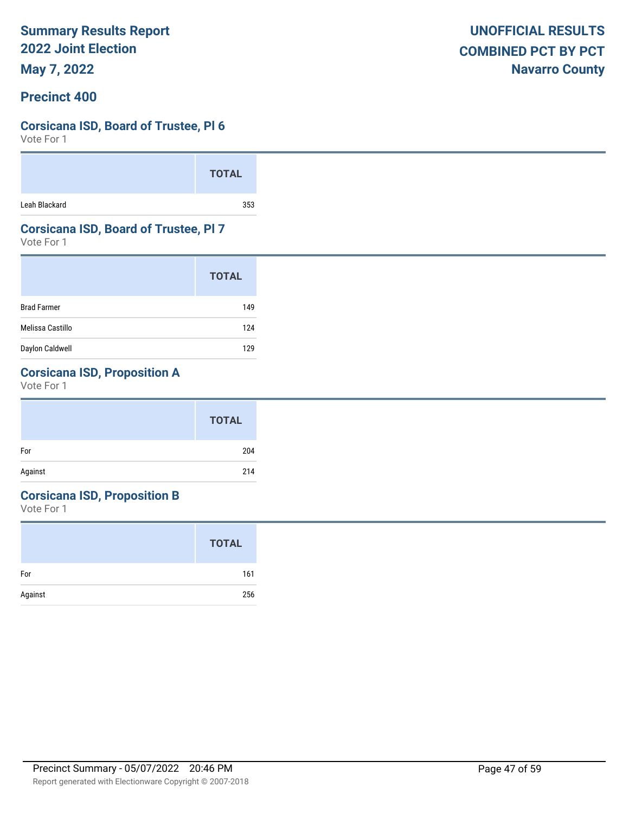**May 7, 2022**

### **Precinct 400**

### **Corsicana ISD, Board of Trustee, Pl 6**

Vote For 1

|               | <b>TOTAL</b> |  |
|---------------|--------------|--|
| Leah Blackard | 353          |  |

### **Corsicana ISD, Board of Trustee, Pl 7**

Vote For 1

|                    | <b>TOTAL</b> |
|--------------------|--------------|
| <b>Brad Farmer</b> | 149          |
| Melissa Castillo   | 124          |
| Daylon Caldwell    | 129          |

# **Corsicana ISD, Proposition A**

Vote For 1

# **Corsicana ISD, Proposition B**

|         | <b>TOTAL</b> |
|---------|--------------|
| For     | 161          |
| Against | 256          |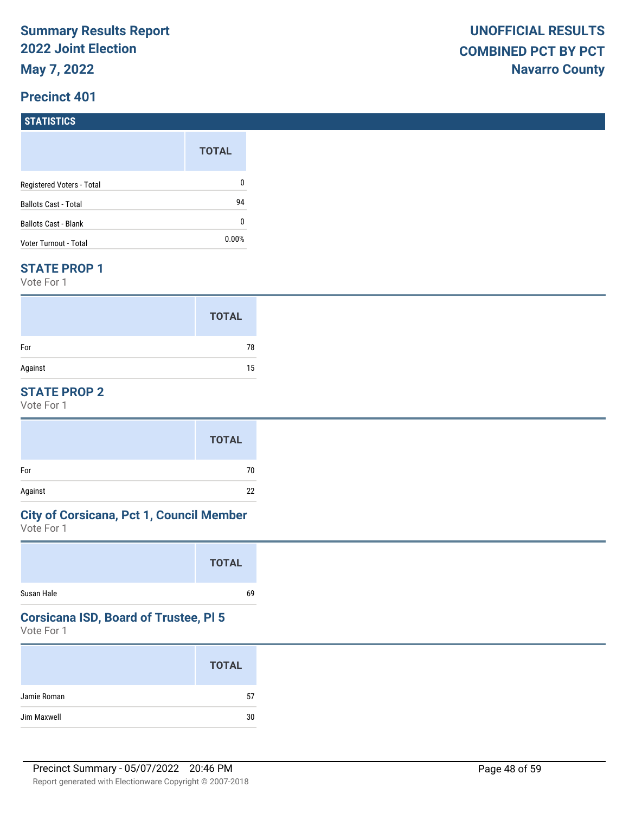### **STATISTICS**

|                             | <b>TOTAL</b> |
|-----------------------------|--------------|
| Registered Voters - Total   | 0            |
| <b>Ballots Cast - Total</b> | 94           |
| <b>Ballots Cast - Blank</b> | 0            |
| Voter Turnout - Total       | $0.00\%$     |

#### **STATE PROP 1**

Vote For 1

|         | <b>TOTAL</b> |
|---------|--------------|
| For     | 78           |
| Against | 15           |

### **STATE PROP 2**

Vote For 1

|         | <b>TOTAL</b> |
|---------|--------------|
| For     | 70           |
| Against | 22           |

# **City of Corsicana, Pct 1, Council Member**

Vote For 1

|            | <b>TOTAL</b> |
|------------|--------------|
| Susan Hale | 69           |

# **Corsicana ISD, Board of Trustee, Pl 5**

|             | <b>TOTAL</b> |
|-------------|--------------|
| Jamie Roman | 57           |
| Jim Maxwell | 30           |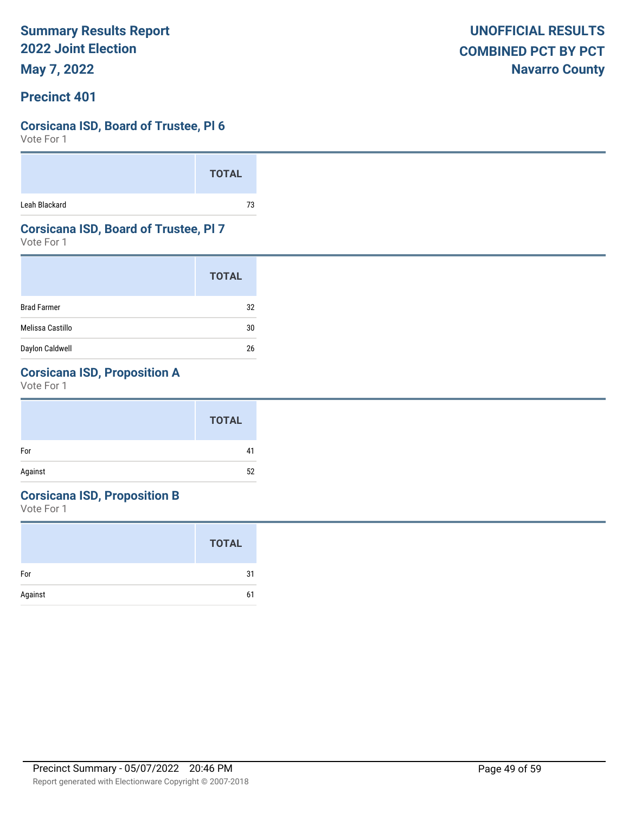**May 7, 2022**

### **Precinct 401**

### **Corsicana ISD, Board of Trustee, Pl 6**

Vote For 1

|               | <b>TOTAL</b> |  |
|---------------|--------------|--|
| Leah Blackard | 73           |  |

### **Corsicana ISD, Board of Trustee, Pl 7**

Vote For 1

|                    | <b>TOTAL</b> |
|--------------------|--------------|
| <b>Brad Farmer</b> | 32           |
| Melissa Castillo   | 30           |
| Daylon Caldwell    | 26           |

# **Corsicana ISD, Proposition A**

Vote For 1

#### **Corsicana ISD, Proposition B**

|         | <b>TOTAL</b> |
|---------|--------------|
| For     | 31           |
| Against | 6            |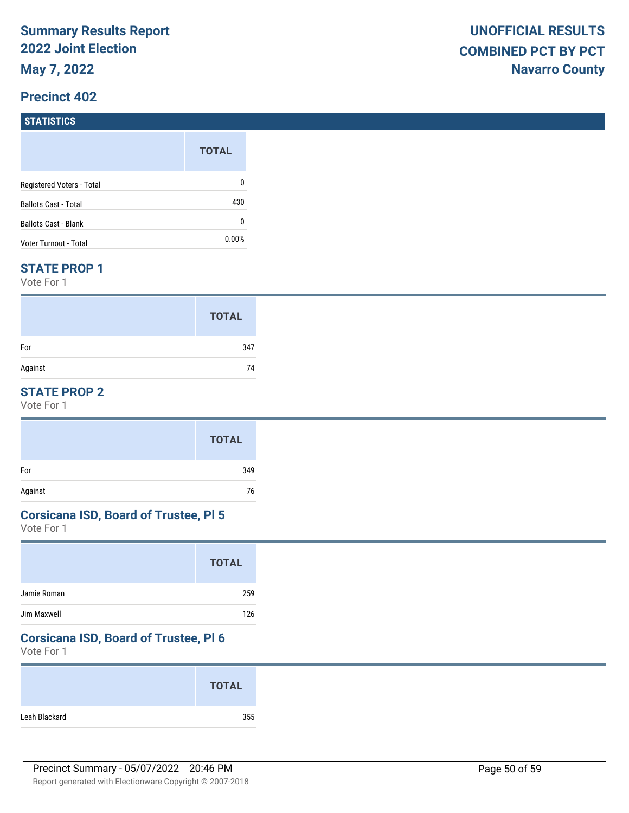#### **STATISTICS**

|                             | <b>TOTAL</b> |
|-----------------------------|--------------|
| Registered Voters - Total   | 0            |
| <b>Ballots Cast - Total</b> | 430          |
| <b>Ballots Cast - Blank</b> | 0            |
| Voter Turnout - Total       | $0.00\%$     |

#### **STATE PROP 1**

Vote For 1

|         | <b>TOTAL</b> |
|---------|--------------|
| For     | 347          |
| Against | 74           |

### **STATE PROP 2**

Vote For 1

|         | <b>TOTAL</b> |
|---------|--------------|
| For     | 349          |
| Against | 76           |

#### **Corsicana ISD, Board of Trustee, Pl 5**

Vote For 1

|             | <b>TOTAL</b> |
|-------------|--------------|
| Jamie Roman | 259          |
| Jim Maxwell | 126          |

#### **Corsicana ISD, Board of Trustee, Pl 6**

|               | <b>TOTAL</b> |
|---------------|--------------|
| Leah Blackard | 355          |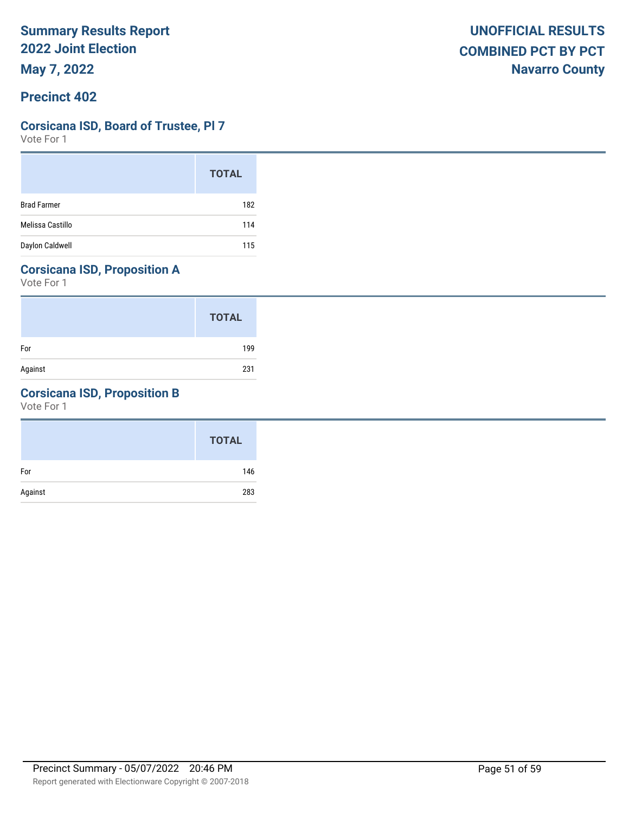### **Corsicana ISD, Board of Trustee, Pl 7**

Vote For 1

|                    | <b>TOTAL</b> |
|--------------------|--------------|
| <b>Brad Farmer</b> | 182          |
| Melissa Castillo   | 114          |
| Daylon Caldwell    | 115          |

# **Corsicana ISD, Proposition A**

Vote For 1

|         | <b>TOTAL</b> |
|---------|--------------|
| For     | 199          |
| Against | 231          |

# **Corsicana ISD, Proposition B**

|         | <b>TOTAL</b> |
|---------|--------------|
| For     | 146          |
| Against | 283          |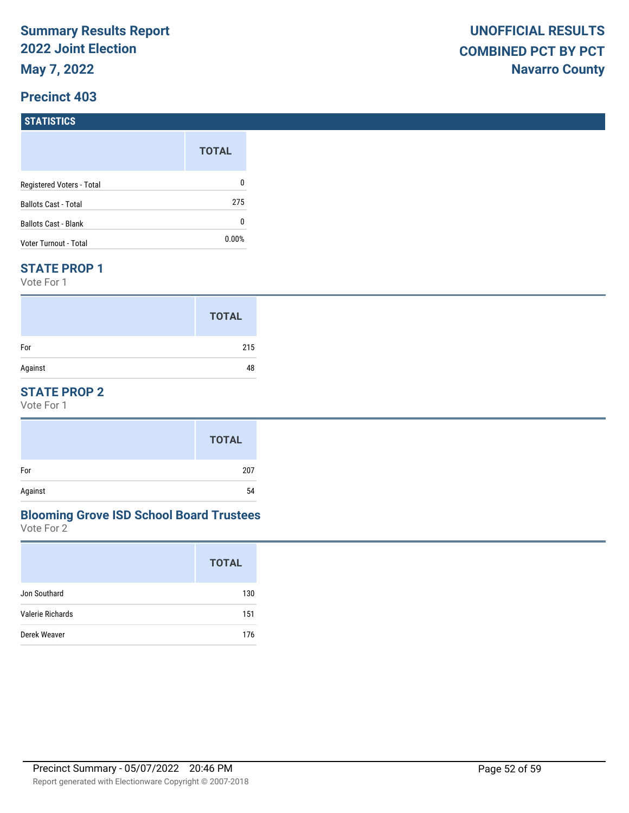# **STATISTICS**

|                             | <b>TOTAL</b> |  |
|-----------------------------|--------------|--|
| Registered Voters - Total   | 0            |  |
| <b>Ballots Cast - Total</b> | 275          |  |
| <b>Ballots Cast - Blank</b> | 0            |  |
| Voter Turnout - Total       | $0.00\%$     |  |

#### **STATE PROP 1**

Vote For 1

|         | <b>TOTAL</b> |
|---------|--------------|
| For     | 215          |
| Against | 48           |

## **STATE PROP 2**

Vote For 1

#### Vote For 2 **Blooming Grove ISD School Board Trustees**

|                  | <b>TOTAL</b> |
|------------------|--------------|
| Jon Southard     | 130          |
| Valerie Richards | 151          |
| Derek Weaver     | 176          |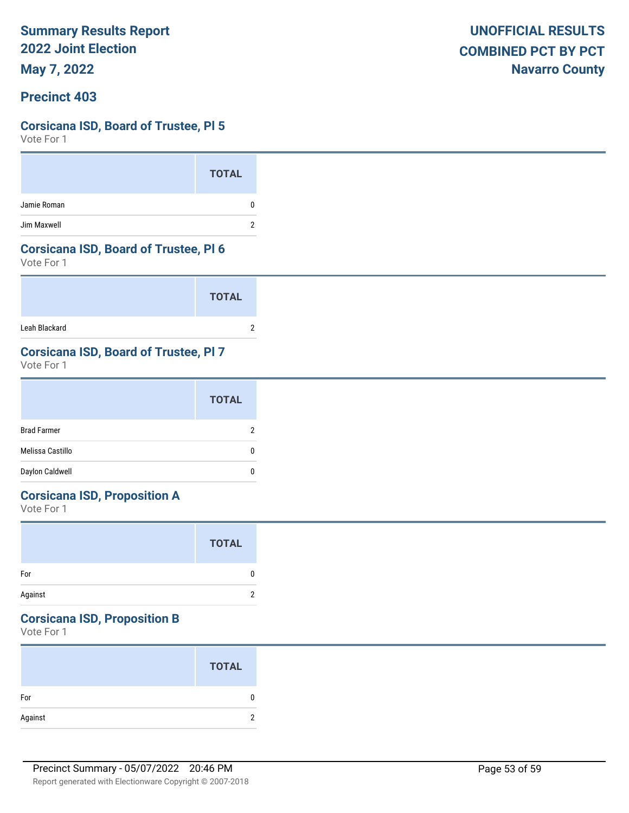**May 7, 2022**

### **Precinct 403**

### **Corsicana ISD, Board of Trustee, Pl 5**

Vote For 1

|             | <b>TOTAL</b> |
|-------------|--------------|
| Jamie Roman | 0            |
| Jim Maxwell | 2            |

#### **Corsicana ISD, Board of Trustee, Pl 6**

Vote For 1

|               | <b>TOTAL</b> |
|---------------|--------------|
| Leah Blackard |              |

# **Corsicana ISD, Board of Trustee, Pl 7**

Vote For 1

|                    | <b>TOTAL</b> |
|--------------------|--------------|
| <b>Brad Farmer</b> | 2            |
| Melissa Castillo   | 0            |
| Daylon Caldwell    | 0            |

# **Corsicana ISD, Proposition A**

Vote For 1

|         | <b>TOTAL</b> |  |
|---------|--------------|--|
| For     | 0            |  |
| Against | 2            |  |

# **Corsicana ISD, Proposition B**

|         | <b>TOTAL</b> |
|---------|--------------|
| For     | O            |
| Against | c            |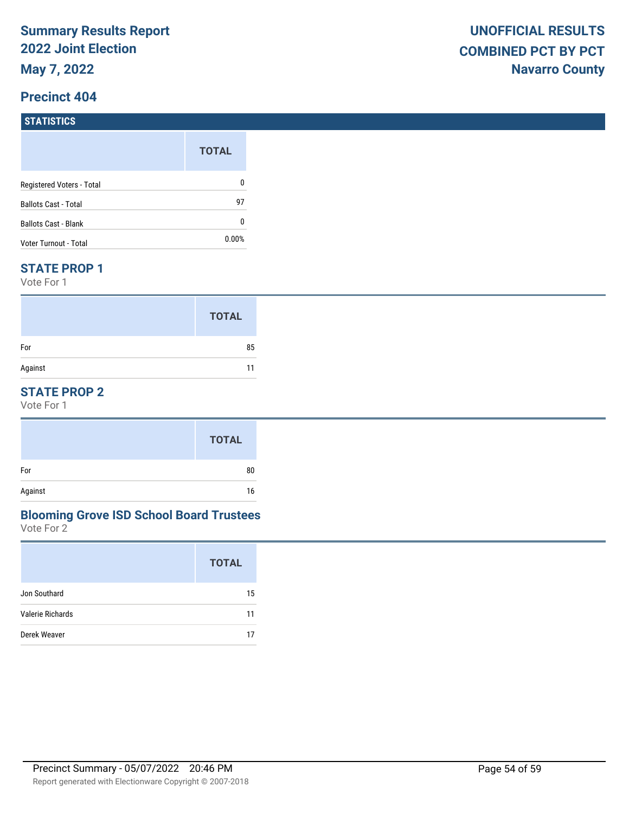#### **Precinct 404**

#### **STATISTICS**

|                             | <b>TOTAL</b> |
|-----------------------------|--------------|
| Registered Voters - Total   | 0            |
| <b>Ballots Cast - Total</b> | 97           |
| <b>Ballots Cast - Blank</b> | 0            |
| Voter Turnout - Total       | 0.00%        |

#### **STATE PROP 1**

Vote For 1

|         | <b>TOTAL</b> |
|---------|--------------|
| For     | 85           |
| Against | 11           |

### **STATE PROP 2**

Vote For 1

#### Vote For 2 **Blooming Grove ISD School Board Trustees**

| <b>TOTAL</b> |
|--------------|
| 15           |
| 11           |
| 17           |
|              |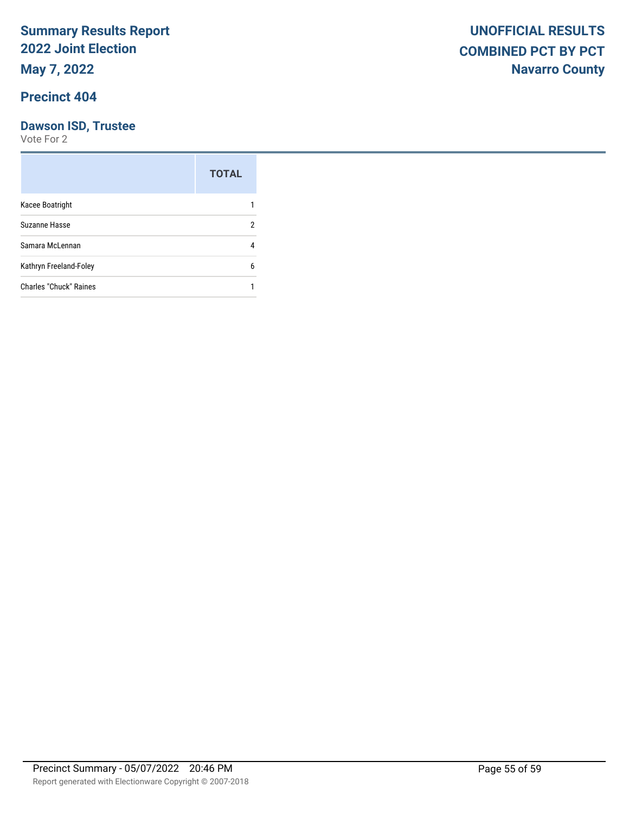### **Precinct 404**

# **Dawson ISD, Trustee**

|                               | <b>TOTAL</b> |
|-------------------------------|--------------|
| Kacee Boatright               |              |
| Suzanne Hasse                 | 2            |
| Samara McLennan               | 4            |
| Kathryn Freeland-Foley        | 6            |
| <b>Charles "Chuck" Raines</b> |              |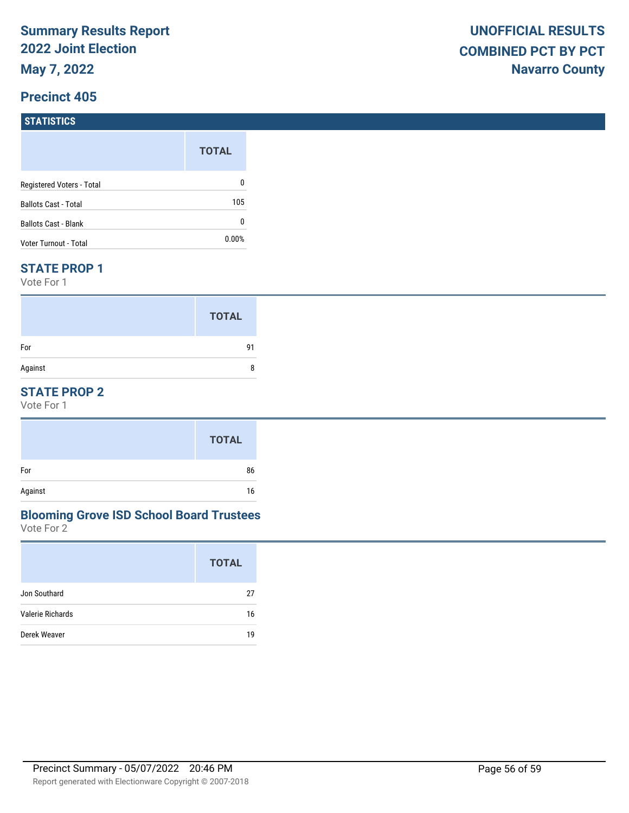# **STATISTICS**

|                           | <b>TOTAL</b> |
|---------------------------|--------------|
| Registered Voters - Total | 0            |
| Ballots Cast - Total      | 105          |
| Ballots Cast - Blank      | 0            |
| Voter Turnout - Total     | $0.00\%$     |

#### **STATE PROP 1**

Vote For 1

|         | <b>TOTAL</b> |
|---------|--------------|
| For     | 91           |
| Against | 8            |

### **STATE PROP 2**

Vote For 1

#### Vote For 2 **Blooming Grove ISD School Board Trustees**

|                  | <b>TOTAL</b> |
|------------------|--------------|
| Jon Southard     | 27           |
| Valerie Richards | 16           |
| Derek Weaver     | 19           |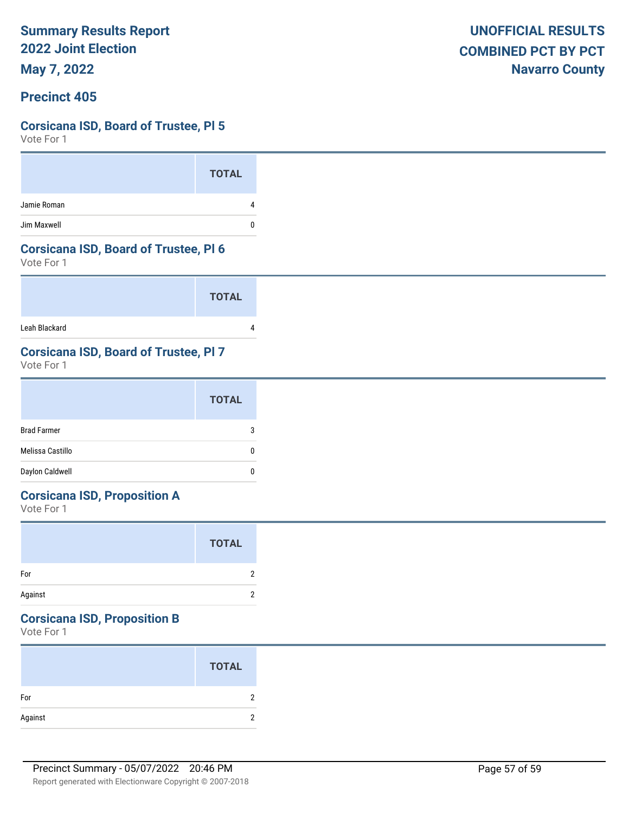**May 7, 2022**

### **Precinct 405**

### **Corsicana ISD, Board of Trustee, Pl 5**

Vote For 1

|             | <b>TOTAL</b> |
|-------------|--------------|
| Jamie Roman |              |
| Jim Maxwell | U            |

#### **Corsicana ISD, Board of Trustee, Pl 6**

Vote For 1

|               | <b>TOTAL</b> |
|---------------|--------------|
| Leah Blackard |              |

# **Corsicana ISD, Board of Trustee, Pl 7**

Vote For 1

|                    | <b>TOTAL</b> |
|--------------------|--------------|
| <b>Brad Farmer</b> | 3            |
| Melissa Castillo   | 0            |
| Daylon Caldwell    | 0            |

# **Corsicana ISD, Proposition A**

Vote For 1

|         | <b>TOTAL</b> |  |
|---------|--------------|--|
| For     | 2            |  |
| Against | 2            |  |

# **Corsicana ISD, Proposition B**

|         | <b>TOTAL</b> |
|---------|--------------|
| For     |              |
| Against | c            |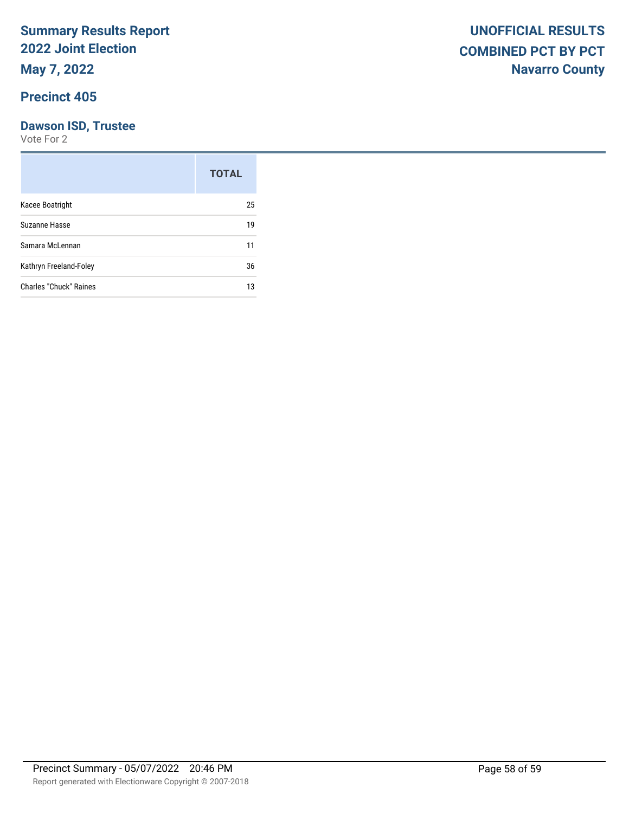## **Precinct 405**

# **Dawson ISD, Trustee**

|                               | <b>TOTAL</b> |
|-------------------------------|--------------|
| Kacee Boatright               | 25           |
| Suzanne Hasse                 | 19           |
| Samara McLennan               | 11           |
| Kathryn Freeland-Foley        | 36           |
| <b>Charles "Chuck" Raines</b> | 13           |